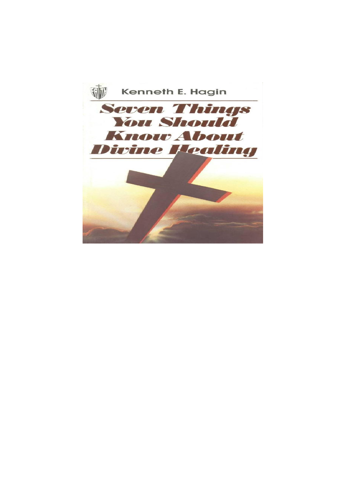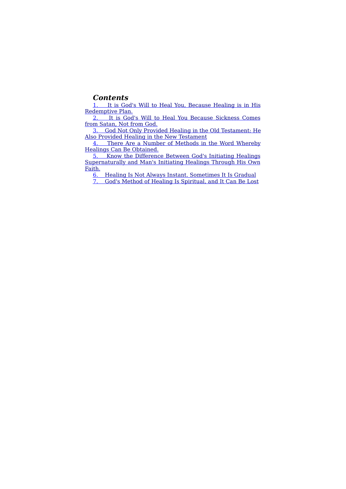### *Contents*

1. It is God's Will to Heal You, Because Healing is in His Redemptive Plan.

2. It is God's Will to Heal You Because Sickness Comes from Satan, Not from God.

3. God Not Only Provided Healing in the Old Testament: He Also Provided Healing in the New Testament

4. There Are a Number of Methods in the Word Whereby Healings Can Be Obtained.

5. Know the Difference Between God's Initiating Healings Supernaturally and Man's Initiating Healings Through His Own Faith.<br>6.

6. Healing Is Not Always Instant. Sometimes It Is Gradual<br>7. God's Method of Healing Is Spiritual, and It Can Be Lost 7. God's Method of Healing Is Spiritual, and It Can Be Lost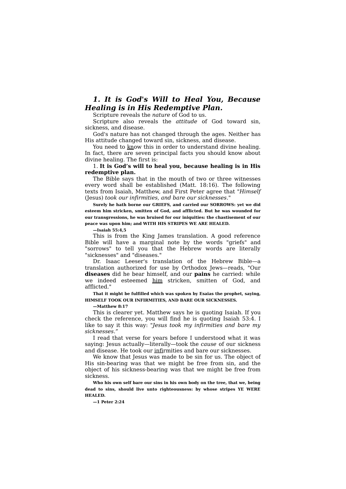## *1. It is God's Will to Heal You, Because Healing is in His Redemptive Plan.*

Scripture reveals the *nature* of God to us.

Scripture also reveals the *attitude* of God toward sin, sickness, and disease.

God's nature has not changed through the ages. Neither has His attitude changed toward sin, sickness, and disease.

You need to know this in order to understand divine healing. In fact, there are seven principal facts you should know about divine healing. The first is:

### 1. **It is God's will to heal you, because healing is in His redemptive plan.**

The Bible says that in the mouth of two or three witnesses every word shall be established (Matt. 18:16). The following texts from Isaiah, Matthew, and First Peter agree that *"Himself* (Jesus) *took our infirmities, and bare our sicknesses."*

**Surely he hath borne our GRIEFS, and carried our SORROWS: yet we did esteem him stricken, smitten of God, and afflicted. But he was wounded for our transgressions, he was bruised for our iniquities: the chastisement of our peace was upon him; and WITH HIS STRIPES WE ARE HEALED.**

**—Isaiah 55:4,5**

This is from the King James translation. A good reference Bible will have a marginal note by the words "griefs" and "sorrows" to tell you that the Hebrew words are literally "sicknesses" and "diseases."

Dr. Isaac Leeser's translation of the Hebrew Bible—a translation authorized for use by Orthodox Jews—reads, "Our **diseases** did he bear himself, and our **pains** he carried: while we indeed esteemed him stricken, smitten of God, and afflicted."

**That it might be fulfilled which was spoken by Esaias the prophet, saying, HIMSELF TOOK OUR INFIRMITIES, AND BARE OUR SICKNESSES.**

**—Matthew 8:17**

This is clearer yet. Matthew says he is quoting Isaiah. If you check the reference, you will find he is quoting Isaiah 53:4. I like to say it this way: *"Jesus took my infirmities and bare my sicknesses."*

I read that verse for years before I understood what it was saying: Jesus actually—literally—took the *cause* of our sickness and disease. He took our infirmities and bare our sicknesses.

We know that Jesus was made to be sin for us. The object of His sin-bearing was that we might be free from sin, and the object of his sickness-bearing was that we might be free from sickness.

**Who his own self bare our sins in his own body on the tree, that we, being dead to sins, should live unto righteousness: by whose stripes YE WERE HEALED.**

**—1 Peter 2:24**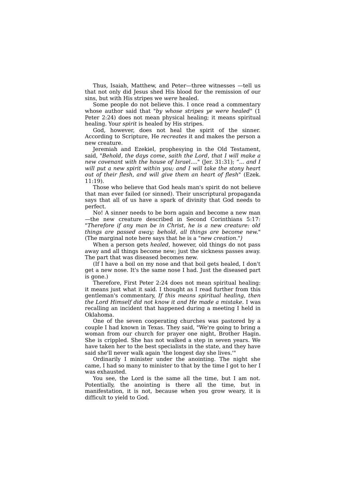Thus, Isaiah, Matthew, and Peter—three witnesses —tell us that not only did Jesus shed His blood for the remission of our sins, but with His stripes we *were* healed.

Some people do not believe this. I once read a commentary whose author said that *"by whose stripes ye were healed"* (1 Peter 2:24) does not mean physical healing; it means spiritual healing. Your *spirit* is healed by His stripes.

God, however, does not heal the spirit of the sinner. According to Scripture, He *recreates* it and makes the person a new creature.

Jeremiah and Ezekiel, prophesying in the Old Testament, said, *"Behold, the days come, saith the Lord, that I will make a new covenant with the house of Israel...."* (Jer. 31:31); *"... and I will put a new spirit within you; and I will take the stony heart out of their flesh, and will give them an heart of flesh"* (Ezek. 11:19).

Those who believe that God heals man's spirit do not believe that man ever failed (or sinned). Their unscriptural propaganda says that all of us have a spark of divinity that God needs to perfect.

No! A sinner needs to be born again and become a new man —the new creature described in Second Corinthians 5:17: *"Therefore if any man be in Christ, he is a new creature: old things are passed away; behold, all things are become new."* (The marginal note here says that he is a *"new creation.")*

When a person gets *healed,* however, old things do not pass away and all things become new; just the sickness passes away. The part that was diseased becomes new.

(If I have a boil on my nose and that boil gets healed, I don't get a new nose. It's the same nose I had. Just the diseased part is gone.)

Therefore, First Peter 2:24 does not mean spiritual healing: it means just what it said. I thought as I read further from this gentleman's commentary, *If this means spiritual healing, then the Lord Himself did not know it and He made a mistake.* I was recalling an incident that happened during a meeting I held in Oklahoma.

One of the seven cooperating churches was pastored by a couple I had known in Texas. They said, "We're going to bring a woman from our church for prayer one night, Brother Hagin. She is crippled. She has not walked a step in seven years. We have taken her to the best specialists in the state, and they have said she'll never walk again 'the longest day she lives.'"

Ordinarily I minister under the anointing. The night she came, I had so many to minister to that by the time I got to her I was exhausted.

You see, the Lord is the same all the time, but I am not. Potentially, the anointing is there all the time, but in manifestation, it is not, because when you grow weary, it is difficult to yield to God.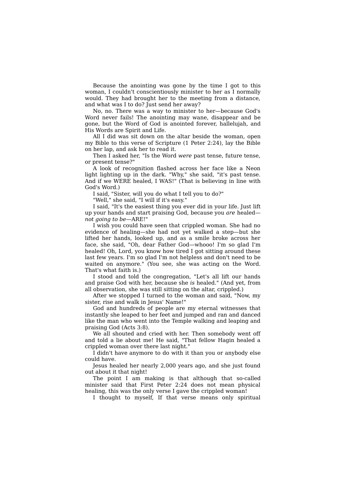Because the anointing was gone by the time I got to this woman, I couldn't conscientiously minister to her as I normally would. They had brought her to the meeting from a distance, and what was I to do? Just send her away?

No, no. There was a way to minister to her—because God's Word never fails! The anointing may wane, disappear and be gone, but the Word of God is anointed forever, hallelujah, and His Words are Spirit and Life.

All I did was sit down on the altar beside the woman, open my Bible to this verse of Scripture (1 Peter 2:24), lay the Bible on her lap, and ask her to read it.

Then I asked her, "Is the Word *were* past tense, future tense, or present tense?"

A look of recognition flashed across her face like a Neon light lighting up in the dark. "Why," she said, "it's past tense. And if we WERE healed, I WAS!" (That is believing in line with God's Word.)

I said, "Sister, will you do what I tell you to do?"

"Well," she said, "I will if it's easy."

I said, "It's the easiest thing you ever did in your life. Just lift up your hands and start praising God, because you *are* healed *not going to be*—ARE!"

I wish you could have seen that crippled woman. She had no evidence of healing—she had not yet walked a step—but she lifted her hands, looked up, and as a smile broke across her face, she said, "Oh, dear Father God—whooo! I'm so glad I'm healed! Oh, Lord, you know how tired I got sitting around these last few years. I'm so glad I'm not helpless and don't need to be waited on anymore." (You see, she was acting on the Word. That's what faith is.)

I stood and told the congregation, "Let's all lift our hands and praise God with her, because she *is* healed." (And yet, from all observation, she was still sitting on the altar, crippled.)

After we stopped I turned to the woman and said, "Now, my sister, rise and walk in Jesus' Name!"

God and hundreds of people are my eternal witnesses that instantly she leaped to her feet and jumped and ran and danced like the man who went into the Temple walking and leaping and praising God (Acts 3:8).

We all shouted and cried with her. Then somebody went off and told a lie about me! He said, "That fellow Hagin healed a crippled woman over there last night."

I didn't have anymore to do with it than you or anybody else could have.

Jesus healed her nearly 2,000 years ago, and she just found out about it that night!

The point I am making is that although that so-called minister said that First Peter 2:24 does not mean physical healing, this was the only verse I gave the crippled woman!

I thought to myself, If that verse means only spiritual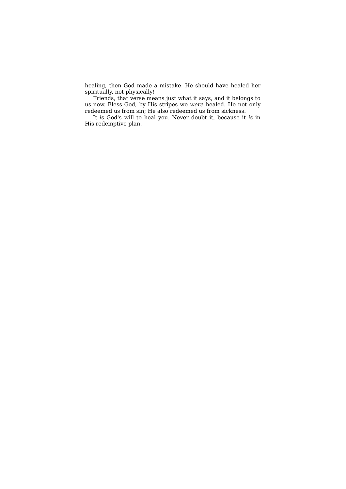healing, then God made a mistake. He should have healed her spiritually, not physically!

Friends, that verse means just what it says, and it belongs to us now. Bless God, by His stripes we *were* healed. He not only redeemed us from sin; He also redeemed us from sickness.

It *is* God's will to heal you. Never doubt it, because it *is* in His redemptive plan.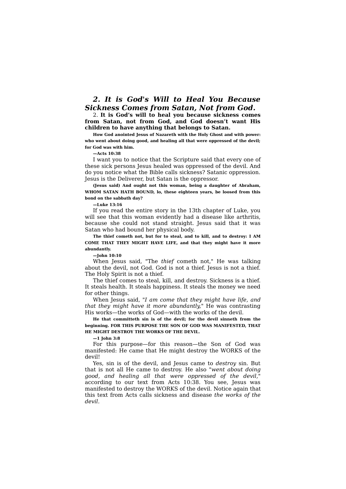# *2. It is God's Will to Heal You Because Sickness Comes from Satan, Not from God.*

2. **It is God's will to heal you because sickness comes from Satan, not from God, and God doesn't want His children to have anything that belongs to Satan.**

**How God anointed Jesus of Nazareth with the Holy Ghost and with power: who went about doing good, and healing all that were oppressed of the devil; for God was with him.**

**—Acts 10:38**

I want you to notice that the Scripture said that every one of these sick persons Jesus healed was oppressed of the devil. And do you notice what the Bible calls sickness? Satanic oppression. Jesus is the Deliverer, but Satan is the oppressor.

**(Jesus said) And ought not this woman, being a daughter of Abraham, WHOM SATAN HATH BOUND, lo, these eighteen years, be loosed from this bond on the sabbath day?**

**—Luke 13:16**

If you read the entire story in the 13th chapter of Luke, you will see that this woman evidently had a disease like arthritis, because she could not stand straight. Jesus said that it was Satan who had bound her physical body.

**The thief cometh not, but for to steal, and to kill, and to destroy: I AM COME THAT THEY MIGHT HAVE LIFE, and that they might have it more abundantly.**

#### **—John 10:10**

When Jesus said, "The *thief* cometh not," He was talking about the devil, not God. God is not a thief. Jesus is not a thief. The Holy Spirit is not a thief.

The thief comes to steal, kill, and destroy. Sickness is a thief. It steals health. It steals happiness. It steals the money we need for other things.

When Jesus said, *"I am come that they might have life, and that they might have it more abundantly,"* He was contrasting His works—the works of God—with the works of the devil.

**He that committeth sin is of the devil; for the devil sinneth from the beginning. FOR THIS PURPOSE THE SON OF GOD WAS MANIFESTED, THAT HE MIGHT DESTROY THE WORKS OF THE DEVIL.**

**—1 John 3:8**

For this purpose—for this reason—the Son of God was manifested: He came that He might destroy the WORKS of the devil!

Yes, sin is of the devil, and Jesus came to *destroy* sin. But that is not all He came to destroy. He also *"went about doing good, and healing all that were oppressed of the devil,"* according to our text from Acts 10:38. You see, Jesus was manifested to destroy the WORKS of the devil. Notice again that this text from Acts calls sickness and disease *the works of the devil.*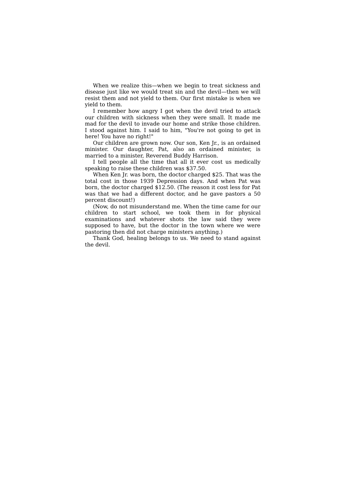When we realize this—when we begin to treat sickness and disease just like we would treat sin and the devil—then we will resist them and not yield to them. Our first mistake is when we yield to them.

I remember how angry I got when the devil tried to attack our children with sickness when they were small. It made me mad for the devil to invade our home and strike those children. I stood against him. I said to him, "You're not going to get in here! You have no right!"

Our children are grown now. Our son, Ken Jr., is an ordained minister. Our daughter, Pat, also an ordained minister, is married to a minister, Reverend Buddy Harrison.

I tell people all the time that all it ever cost us medically speaking to raise these children was \$37.50.

When Ken Jr. was born, the doctor charged \$25. That was the total cost in those 1939 Depression days. And when Pat was born, the doctor charged \$12.50. (The reason it cost less for Pat was that we had a different doctor, and he gave pastors a 50 percent discount!)

(Now, do not misunderstand me. When the time came for our children to start school, we took them in for physical examinations and whatever shots the law said they were supposed to have, but the doctor in the town where we were pastoring then did not charge ministers anything.)

Thank God, healing belongs to us. We need to stand against the devil.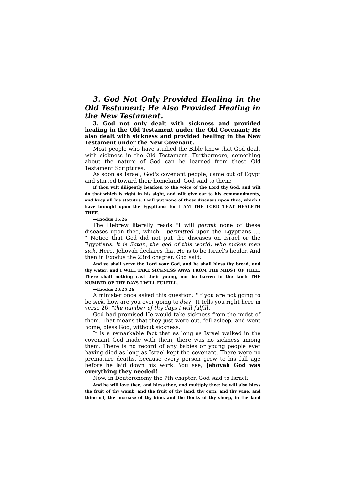## *3. God Not Only Provided Healing in the Old Testament; He Also Provided Healing in the New Testament.*

**3. God not only dealt with sickness and provided healing in the Old Testament under the Old Covenant; He also dealt with sickness and provided healing in the New Testament under the New Covenant.**

Most people who have studied the Bible know that God dealt with sickness in the Old Testament. Furthermore, something about the nature of God can be learned from these Old Testament Scriptures.

As soon as Israel, God's covenant people, came out of Egypt and started toward their homeland, God said to them:

**If thou wilt diligently hearken to the voice of the Lord thy God, and wilt do that which is right in his sight, and wilt give ear to his commandments, and keep all his statutes, I will put none of these diseases upon thee, which I have brought upon the Egyptians: for I AM THE LORD THAT HEALETH THEE.**

**—Exodus 15:26**

The Hebrew literally reads "I will *permit* none of these diseases upon thee, which I *permitted* upon the Egyptians .... " Notice that God did not put the diseases on Israel or the Egyptians. *It is Satan, the god of this world, who makes men sick.* Here, Jehovah declares that He is to be Israel's healer. And then in Exodus the 23rd chapter, God said:

**And ye shall serve the Lord your God, and he shall bless thy bread, and thy water; and I WILL TAKE SICKNESS AWAY FROM THE MIDST OF THEE. There shall nothing cast their young, nor be barren in the land: THE NUMBER OF THY DAYS I WILL FULFILL.**

**—Exodus 23:25,26**

A minister once asked this question: "If you are not going to be *sick,* how are you ever going to *die?"* It tells you right here in verse 26: *"the number of thy days I will fulfill."*

God had promised He would take sickness from the midst of them. That means that they just wore out, fell asleep, and went home, bless God, without sickness.

It is a remarkable fact that as long as Israel walked in the covenant God made with them, there was no sickness among them. There is no record of any babies or young people ever having died as long as Israel kept the covenant. There were no premature deaths, because every person grew to his full age before he laid down his work. You see, **Jehovah God was everything they needed!**

Now, in Deuteronomy the 7th chapter, God said to Israel:

**And he will love thee, and bless thee, and multiply thee: he will also bless the fruit of thy womb, and the fruit of thy land, thy corn, and thy wine, and thine oil, the increase of thy kine, and the flocks of thy sheep, in the land**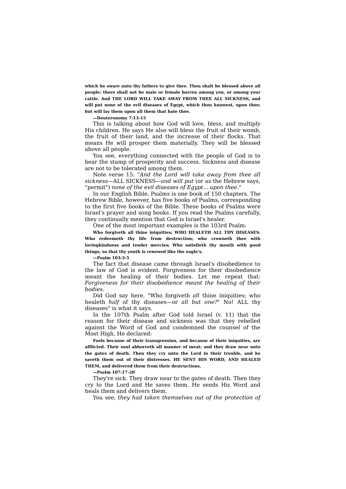**which he sware unto thy fathers to give thee. Thou shalt be blessed above all people: there shall not be male or female barren among you, or among your cattle. And THE LORD WILL TAKE AWAY FROM THEE ALL SICKNESS, and will put none of the evil diseases of Egypt, which thou knowest, upon thee; but will lay them upon all them that hate thee.**

**—Deuteronomy 7:13-15**

This is talking about how God will love, bless, and multiply His children. He says He also will bless the fruit of their womb, the fruit of their land, and the increase of their flocks. That means He will prosper them materially. They will be blessed above all people.

You see, everything connected with the people of God is to bear the stamp of prosperity and success. Sickness and disease are not to be tolerated among them.

Note verse 15: *"And the Lord will take away from thee all sickness*—ALL SICKNESS—*and will put* (or as the Hebrew says, "permit") *none of the evil diseases of Egypt... upon thee."*

In our English Bible, Psalms is one book of 150 chapters. The Hebrew Bible, however, has five books of Psalms, corresponding to the first five books of the Bible. These books of Psalms were Israel's prayer and song books. If you read the Psalms carefully, they continually mention that God is Israel's healer.

One of the most important examples is the 103rd Psalm:

**Who forgiveth all thine iniquities; WHO HEALETH ALL THY DISEASES. Who redeemeth thy life from destruction; who crowneth thee with lovingkindness and tender mercies; Who satisfieth thy mouth with good things; so that thy youth is renewed like the eagle's.**

**—Psalm 103:3-5**

The fact that disease came through Israel's disobedience to the law of God is evident. Forgiveness for their disobedience meant the healing of their bodies. Let me repeat that: *Forgiveness for their disobedience meant the healing of their bodies.*

Did God say here, "Who forgiveth *all* thine iniquities; who healeth *half* of thy diseases—or *all but one?"* No! ALL thy diseases" is what it says.

In the 107th Psalm after God told Israel (v. 11) that the reason for their disease and sickness was that they rebelled against the Word of God and condemned the counsel of the Most High, He declared:

**Fools because of their transgression, and because of their iniquities, are afflicted. Their soul abhorreth all manner of meat; and they draw near unto the gates of death. Then they cry unto the Lord in their trouble, and he saveth them out of their distresses. HE SENT HIS WORD, AND HEALED THEM, and delivered them from their destructions.**

**—Psalm 107:17-20**

They're sick. They draw near to the gates of death. Then they cry to the Lord and He saves them. He sends His Word and heals them and delivers them.

You see, *they had taken themselves out of the protection of*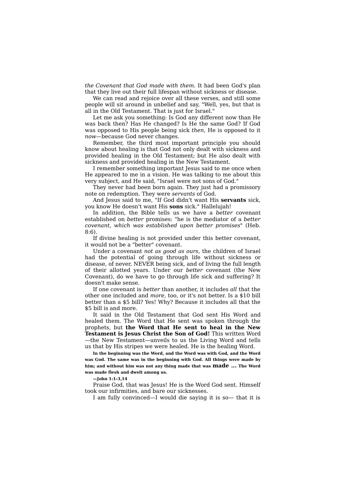*the Covenant that God made with them.* It had been God's plan that they live out their full lifespan without sickness or disease.

We can read and rejoice over all these verses, and still some people will sit around in unbelief and say, "Well, yes, but that is all in the Old Testament. That is just for Israel."

Let me ask you something: Is God any different now than He was back then? Has He changed? Is He the same God? If God was opposed to His people being sick *then,* He is opposed to it *now*—because God never changes.

Remember, the third most important principle you should know about healing is that God not only dealt with sickness and provided healing in the Old Testament; but He also dealt with sickness and provided healing in the New Testament.

I remember something important Jesus said to me once when He appeared to me in a vision. He was talking to me about this very subject, and He said, "Israel were not sons of God."

They never had been born again. They just had a promissory note on redemption. They were *servants* of God.

And Jesus said to me, "If God didn't want His **servants** sick, you know He doesn't want His **sons** sick." Hallelujah!

In addition, the Bible tells us we have a *better* covenant established on *better* promises: "he is the mediator of a *better covenant, which was established upon better promises"* (Heb. 8:6).

If divine healing is not provided under this better covenant, it would not be a "better" covenant.

Under a covenant *not as good as ours,* the children of Israel had the potential of going through life without sickness or disease, of never, NEVER being sick, and of living the full length of their allotted years. Under our *better* covenant (the New Covenant), do we have to go through life sick and suffering? It doesn't make sense.

If one covenant is *better* than another, it includes *all* that the other one included and *more,* too, or it's not better. Is a \$10 bill better than a \$5 bill? Yes! Why? Because it includes all that the \$5 bill is and more.

It said in the Old Testament that God sent His Word and healed them. The Word that He sent was spoken through the prophets, but **the Word that He sent to heal in the New Testament is Jesus Christ the Son of God!** This written Word —the New Testament—unveils to us the Living Word and tells us that by His stripes we were healed. He is the healing Word.

**In the beginning was the Word, and the Word was with God, and the Word was God. The same was in the beginning with God. All things were made by him; and without him was not any thing made that was made ... The Word was made flesh and dwelt among us.**

**—John 1:1-3,14**

Praise God, that was Jesus! He is the Word God sent. Himself took our infirmities, and bare our sicknesses.

I am fully convinced—I would die saying it is so— that it is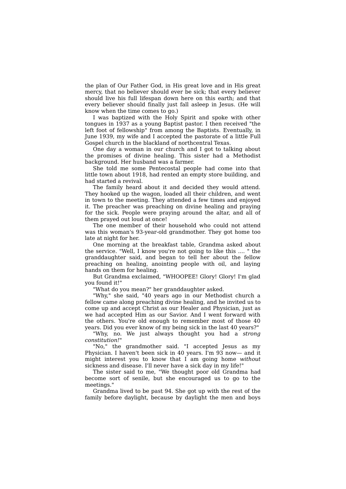the plan of Our Father God, in His great love and in His great mercy, that no believer should ever be sick; that every believer should live his full lifespan down here on this earth; and that every believer should finally just fall asleep in Jesus. (He will know when the time comes to go.)

I was baptized with the Holy Spirit and spoke with other tongues in 1937 as a young Baptist pastor. I then received "the left foot of fellowship" from among the Baptists. Eventually, in June 1939, my wife and I accepted the pastorate of a little Full Gospel church in the blackland of northcentral Texas.

One day a woman in our church and I got to talking about the promises of divine healing. This sister had a Methodist background. Her husband was a farmer.

She told me some Pentecostal people had come into that little town about 1918, had rented an empty store building, and had started a revival.

The family heard about it and decided they would attend. They hooked up the wagon, loaded all their children, and went in town to the meeting. They attended a few times and enjoyed it. The preacher was preaching on divine healing and praying for the sick. People were praying around the altar, and all of them prayed out loud at once!

The one member of their household who could not attend was this woman's 93-year-old grandmother. They got home too late at night for her.

One morning at the breakfast table, Grandma asked about the service. "Well, I know you're not going to like this .... " the granddaughter said, and began to tell her about the fellow preaching on healing, anointing people with oil, and laying hands on them for healing.

But Grandma exclaimed, "WHOOPEE! Glory! Glory! I'm glad you found it!"

"What do you mean?" her granddaughter asked.

"Why," she said, "40 years ago in our Methodist church a fellow came along preaching divine healing, and he invited us to come up and accept Christ as our Healer and Physician, just as we had accepted Him as our Savior. And I went forward with the others. You're old enough to remember most of those 40 years. Did you ever know of my being sick in the last 40 years?"

"Why, no. We just always thought you had a *strong constitution!"*

"No," the grandmother said. "I accepted Jesus as my Physician. I haven't been sick in 40 years. I'm 93 now— and it might interest you to know that I am going home *without* sickness and disease. I'll never have a sick day in my life!"

The sister said to me, "We thought poor old Grandma had become sort of senile, but she encouraged us to go to the meetings."

Grandma lived to be past 94. She got up with the rest of the family before daylight, because by daylight the men and boys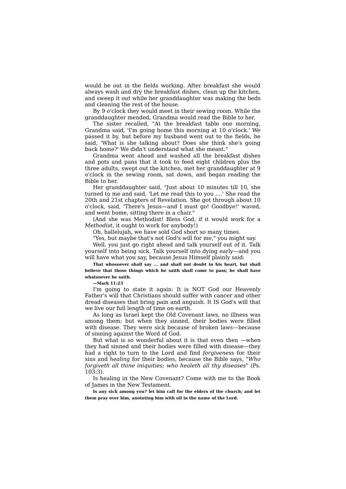would be out in the fields working. After breakfast she would always wash and dry the breakfast dishes, clean up the kitchen, and sweep it out while her granddaughter was making the beds and cleaning the rest of the house.

By 9 o'clock they would meet in their sewing room. While the granddaughter mended, Grandma would read the Bible to her.

The sister recalled, "At the breakfast table one morning, Grandma said, 'I'm going home this morning at 10 o'clock.' We passed it by, but before my husband went out to the fields, he said, 'What is she talking about? Does she think she's going back home?' We didn't understand what she meant."

Grandma went ahead and washed all the breakfast dishes and pots and pans that it took to feed eight children plus the three adults, swept out the kitchen, met her granddaughter at 9 o'clock in the sewing room, sat down, and began reading the Bible to her.

Her granddaughter said, "Just about 10 minutes till 10, she turned to me and said, 'Let me read this to you ....' She read the 20th and 21st chapters of Revelation. She got through about 10 o'clock, said, 'There's Jesus—and I must go! Goodbye!' waved, and went home, sitting there in a chair."

(And she was Methodist! Bless God, if it would work for a *Methodist,* it ought to work for anybody!)

Oh, hallelujah, we have sold God short so many times.

"Yes, but maybe that's not God's will for me," you might say.

Well, you just go right ahead and talk yourself out of it. Talk yourself into being sick. Talk yourself into dying early—and you will have what you say, because Jesus Himself plainly said:

**That whosoever shall say ... and shall not doubt in his heart, but shall believe that those things which he saith shall come to pass; he shall have whatsoever he saith.**

**—Mark 11:23**

I'm going to state it again: It is NOT God our Heavenly Father's will that Christians should suffer with cancer and other dread diseases that bring pain and anguish. It IS God's will that we live our full length of time on earth.

As long as Israel kept the Old Covenant laws, no illness was among them; but when they sinned, their bodies were filled with disease. They were sick because of broken laws—because of sinning against the Word of God.

But what is so wonderful about it is that even then —when they had sinned and their bodies were filled with disease—they had a right to turn to the Lord and find *forgiveness* for their sins and *healing* for their bodies, because the Bible says, *"Who forgiveth all thine iniquities; who healeth all thy diseases"* (Ps. 103:3).

Is healing in the New Covenant? Come with me to the Book of James in the New Testament.

**Is any sick among you? let him call for the elders of the church; and let them pray over him, anointing him with oil in the name of the Lord.**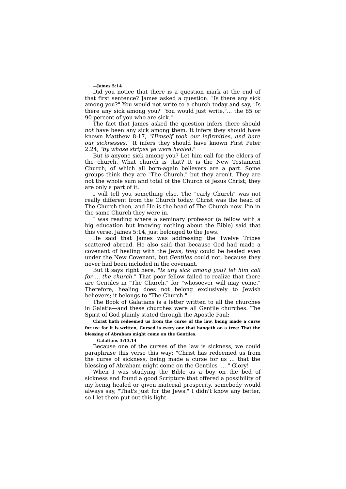#### **—James 5:14**

Did you notice that there is a question mark at the end of that first sentence? James asked a question: "Is there any sick among you?" You would not write to a church today and say, "Is there any sick among you?" You would just write,"... the 85 or 90 percent of you who are sick."

The fact that James asked the question infers there should *not* have been any sick among them. It infers they should have known Matthew 8:17, *"Himself took our infirmities, and bare our sicknesses."* It infers they should have known First Peter 2:24, *"by whose stripes ye were healed."*

But *is* anyone sick among you? Let him call for the elders of the church. What church is that? It is the New Testament Church, of which all born-again believers are a part. Some groups think they are "The Church," but they aren't. They are not the whole sum and total of the Church of Jesus Christ; they are only a part of it.

I will tell you something else. The "early Church" was not really different from the Church today. Christ was the head of The Church then, and He is the head of The Church now. I'm in the same Church they were in.

I was reading where a seminary professor (a fellow with a big education but knowing nothing about the Bible) said that this verse, James 5:14, just belonged to the Jews.

He said that James was addressing the Twelve Tribes scattered abroad. He also said that because God had made a covenant of healing with the Jews, *they* could be healed even under the New Covenant, but *Gentiles* could not, because they never had been included in the covenant.

But it says right here, *"Is any sick among you? let him call for ... the church."* That poor fellow failed to realize that there are Gentiles in "The Church," for "whosoever will may come." Therefore, healing does not belong exclusively to Jewish believers; it belongs to "The Church."

The Book of Galatians is a letter written to all the churches in Galatia—and these churches were all Gentile churches. The Spirit of God plainly stated through the Apostle Paul:

**Christ hath redeemed us from the curse of the law, being made a curse for us: for it is written, Cursed is every one that hangeth on a tree: That the blessing of Abraham might come on the Gentiles.**

**—Galatians 3:13,14**

Because one of the curses of the law is sickness, we could paraphrase this verse this way: "Christ has redeemed us from the curse of sickness, being made a curse for us ... that the blessing of Abraham might come on the Gentiles .... " Glory!

When I was studying the Bible as a boy on the bed of sickness and found a good Scripture that offered a possibility of my being healed or given material prosperity, somebody would always say, "That's just for the Jews." I didn't know any better, so I let them put out this light.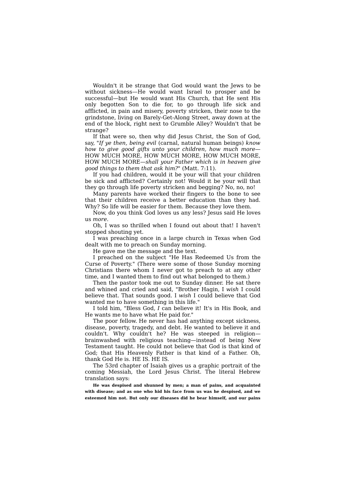Wouldn't it be strange that God would want the Jews to be without sickness—He would want Israel to prosper and be successful—but He would want His Church, that He sent His only begotten Son to die for, to go through life sick and afflicted, in pain and misery, poverty stricken, their nose to the grindstone, living on Barely-Get-Along Street, away down at the end of the block, right next to Grumble Alley? Wouldn't that be strange?

If that were so, then why did Jesus Christ, the Son of God, say, *"If ye then, being evil* (carnal, natural human beings) *know how to give good gifts unto your children, how much more—* HOW MUCH MORE, HOW MUCH MORE, HOW MUCH MORE, HOW MUCH MORE—*shall your Father which is in heaven give good things to them that ask him?"* (Matt. 7:11).

If you had children, would it be your will that your children be sick and afflicted? Certainly not! Would it be your will that they go through life poverty stricken and begging? No, no, no!

Many parents have worked their fingers to the bone to see that their children receive a better education than they had. Why? So life will be easier for them. Because they love them.

Now, do you think God loves us any less? Jesus said He loves us *more.*

Oh, I was so thrilled when I found out about that! I haven't stopped shouting yet.

I was preaching once in a large church in Texas when God dealt with me to preach on Sunday morning.

He gave me the message and the text.

I preached on the subject "He Has Redeemed Us from the Curse of Poverty." (There were some of those Sunday morning Christians there whom I never got to preach to at any other time, and I wanted them to find out what belonged to them.)

Then the pastor took me out to Sunday dinner. He sat there and whined and cried and said, "Brother Hagin, I *wish* I could believe that. That sounds good. I *wish* I could believe that God wanted me to have something in this life."

I told him, "Bless God, *I* can believe it! It's in His Book, and He wants me to have what He paid for."

The poor fellow. He never has had anything except sickness, disease, poverty, tragedy, and debt. He wanted to believe it and couldn't. Why couldn't he? He was steeped in religion brainwashed with religious teaching—instead of being New Testament taught. He could not believe that God is that kind of God; that His Heavenly Father is that kind of a Father. Oh, thank God He is. HE IS. HE IS.

The 53rd chapter of Isaiah gives us a graphic portrait of the coming Messiah, the Lord Jesus Christ. The literal Hebrew translation says:

**He was despised and shunned by men; a man of pains, and acquainted with disease; and as one who hid his face from us was he despised, and we esteemed him not. But only our diseases did he bear himself, and our pains**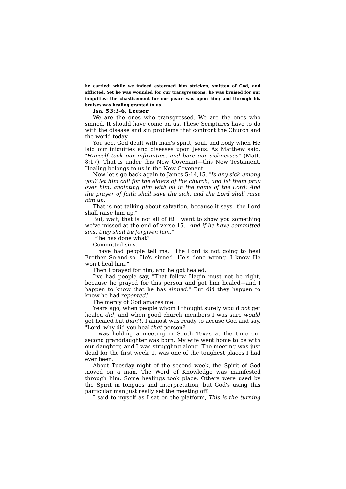**he carried: while we indeed esteemed him stricken, smitten of God, and afflicted. Yet he was wounded for our transgressions, he was bruised for our iniquities: the chastisement for our peace was upon him; and through his bruises was healing granted to us.**

**Isa. 53:3-6, Leeser**

We are the ones who transgressed. We are the ones who sinned. It should have come on us. These Scriptures have to do with the disease and sin problems that confront the Church and the world today.

You see, God dealt with man's spirit, soul, and body when He laid our iniquities and diseases upon Jesus. As Matthew said, *"Himself took our infirmities, and bare our sicknesses"* (Matt. 8:17). That is under this New Covenant—this New Testament. Healing belongs to us in the New Covenant.

Now let's go back again to James 5:14,15. *"Is any sick among you? let him call for the elders of the church; and let them pray over him, anointing him with oil in the name of the Lord: And the prayer of faith shall save the sick, and the Lord shall raise him up."*

That is not talking about salvation, because it says "the Lord shall raise him up."

But, wait, that is not all of it! I want to show you something we've missed at the end of verse 15. *"And if he have committed sins, they shall be forgiven him."*

If he has done what?

Committed sins.

I have had people tell me, "The Lord is not going to heal Brother So-and-so. He's sinned. He's done wrong. I know He won't heal him."

Then I prayed for him, and he got healed.

I've had people say, "That fellow Hagin must not be right, because he prayed for this person and got him healed—and I happen to know that he has *sinned."* But did they happen to know he had *repented!*

The mercy of God amazes me.

Years ago, when people whom I thought surely would *not* get healed *did,* and when good church members I was sure *would* get healed but *didn't,* I almost was ready to accuse God and say, "Lord, why did you heal *that* person?"

I was holding a meeting in South Texas at the time our second granddaughter was born. My wife went home to be with our daughter, and I was struggling along. The meeting was just dead for the first week. It was one of the toughest places I had ever been.

About Tuesday night of the second week, the Spirit of God moved on a man. The Word of Knowledge was manifested through him. Some healings took place. Others were used by the Spirit in tongues and interpretation, but God's using this particular man just really set the meeting off.

I said to myself as I sat on the platform, *This is the turning*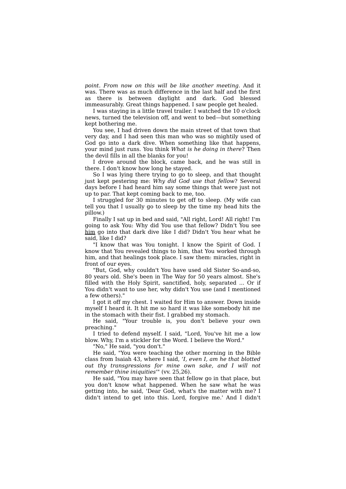*point. From now on this will be like another meeting.* And it was. There was as much difference in the last half and the first as there is between daylight and dark. God blessed immeasurably. Great things happened. I saw people get healed.

I was staying in a little travel trailer. I watched the 10 o'clock news, turned the television off, and went to bed—but something kept bothering me.

You see, I had driven down the main street of that town that very day, and I had seen this man who was so mightily used of God go into a dark dive. When something like that happens, your mind just runs. You think *What is he doing in there*? Then the devil fills in all the blanks for you!

I drove around the block, came back, and he was still in there. I don't know how long he stayed.

So I was lying there trying to go to sleep, and that thought just kept pestering me: *Why did God use that fellow*? Several days before I had heard him say some things that were just not up to par. That kept coming back to me, too.

I struggled for 30 minutes to get off to sleep. (My wife can tell you that I usually go to sleep by the time my head hits the pillow.)

Finally I sat up in bed and said, "All right, Lord! All right! I'm going to ask You: Why did You use that fellow? Didn't You see him go into that dark dive like I did? Didn't You hear what he said, like I did?

"I know that was You tonight. I know the Spirit of God. I know that You revealed things to him, that You worked through him, and that healings took place. I saw them: miracles, right in front of our eyes.

"But, God, why couldn't You have used old Sister So-and-so, 80 years old. She's been in The Way for 50 years almost. She's filled with the Holy Spirit, sanctified, holy, separated ... Or if You didn't want to use her, why didn't You use (and I mentioned a few others)."

I got it off my chest. I waited for Him to answer. Down inside myself I heard it. It hit me so hard it was like somebody hit me in the stomach with their fist. I grabbed my stomach.

He said, "Your trouble is, you don't believe your own preaching."

I tried to defend myself. I said, "Lord, You've hit me a low blow. Why, I'm a stickler for the Word. I believe the Word."

"No," He said, "you don't."

He said, "You were teaching the other morning in the Bible class from Isaiah 43, where I said, *'I, even I, am he that blotted out thy transgressions for mine own sake, and I will not remember thine iniquities'"* (vv. 25,26).

He said, "You may have seen that fellow go in that place, but you don't know what happened. When he saw what he was getting into, he said, 'Dear God, what's the matter with me? I didn't intend to get into this. Lord, forgive me.' And I didn't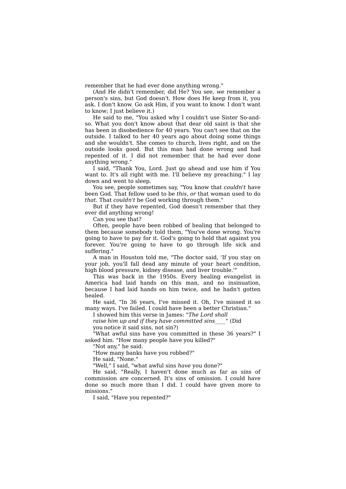remember that he had ever done anything wrong."

(And He didn't remember, did He? You see, *we* remember a person's sins, but God doesn't. How does He keep from it, you ask. I don't know. Go ask Him, if you want to know. I don't want to know; I just believe it.)

He said to me, "You asked why I couldn't use Sister So-andso. What you don't know about that dear old saint is that she has been in disobedience for 40 years. You can't see that on the outside. I talked to her 40 years ago about doing some things and she wouldn't. She comes to church, lives right, and on the outside looks good. But this man had done wrong and had repented of it. I did not remember that he had ever done anything wrong."

I said, "Thank You, Lord. Just go ahead and use him if You want to. It's all right with me. I'll believe my preaching." I lay down and went to sleep.

You see, people sometimes say, "You know that *couldn't* have been God. That fellow used to be *this, or* that woman used to do *that.* That *couldn't* be God working through them."

But if they have repented, God doesn't remember that they ever did anything wrong!

Can you see that?

Often, people have been robbed of healing that belonged to them because somebody told them, "You've done wrong. You're going to have to pay for it. God's going to hold that against you forever. You're going to have to go through life sick and suffering."

A man in Houston told me, "The doctor said, 'If you stay on your job, you'll fall dead any minute of your heart condition, high blood pressure, kidney disease, and liver trouble.'"

This was back in the 1950s. Every healing evangelist in America had laid hands on this man, and no insinuation, because I had laid hands on him twice, and he hadn't gotten healed.

He said, "In 36 years, I've missed it. Oh, I've missed it so many ways. I've failed. I could have been a better Christian."

I showed him this verse in James: *"The Lord shall*

*raise him up and if they have committed sins*\_\_\_\_" (Did you notice it said sins, not sin?)

"What awful sins have you committed in these 36 years?" I asked him. "How many people have you killed?"

"Not any," he said.

"How many banks have you robbed?"

He said, "None."

"Well," I said, "what awful sins *have* you done?"

He said, "Really, I haven't done much as far as sins of commission are concerned. It's sins of omission. I could have done so much more than I did. I could have given more to missions."

I said, "Have you repented?"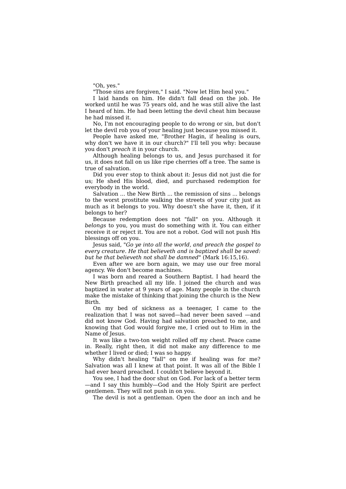"Oh, yes."

"Those sins are forgiven," I said. "Now let Him heal you."

I laid hands on him. He didn't fall dead on the job. He worked until he was 75 years old, and he was still alive the last I heard of him. He had been letting the devil cheat him because he had missed it.

No, I'm not encouraging people to do wrong or sin, but don't let the devil rob you of your healing just because you missed it.

People have asked me, "Brother Hagin, if healing is ours, why don't we have it in our church?" I'll tell you why: because you don't *preach* it in your church.

Although healing belongs to us, and Jesus purchased it for us, it does not fall on us like ripe cherries off a tree. The same is true of salvation.

Did you ever stop to think about it: Jesus did not just die for us; He shed His blood, died, and purchased redemption for everybody in the world.

Salvation ... the New Birth ... the remission of sins ... belongs to the worst prostitute walking the streets of your city just as much as it belongs to you. Why doesn't she have it, then, if it belongs to her?

Because redemption does not "fall" on you. Although it *belongs* to you, you must do something with it. You can either receive it or reject it. You are not a robot. God will not push His blessings off on you.

Jesus said, *"Go ye into all the world, and preach the gospel to every creature. He that believeth and is baptized shall be saved: but he that believeth not shall be damned"* (Mark 16:15,16).

Even after we are born again, we may use our free moral agency. We don't become machines.

I was born and reared a Southern Baptist. I had heard the New Birth preached all my life. I joined the church and was baptized in water at 9 years of age. Many people in the church make the mistake of thinking that joining the church is the New Birth.

On my bed of sickness as a teenager, I came to the realization that I was not saved—had never been saved —and did not know God. Having had salvation preached to me, and knowing that God would forgive me, I cried out to Him in the Name of Jesus.

It was like a two-ton weight rolled off my chest. Peace came in. Really, right then, it did not make any difference to me whether I lived or died; I was so happy.

Why didn't healing "fall" on me if healing was for me? Salvation was all I knew at that point. It was all of the Bible I had ever heard preached. I couldn't believe beyond it.

You see, I had the door shut on God. For lack of a better term —and I say this humbly—God and the Holy Spirit are perfect gentlemen. They will not push in on you.

The devil is not a gentleman. Open the door an inch and he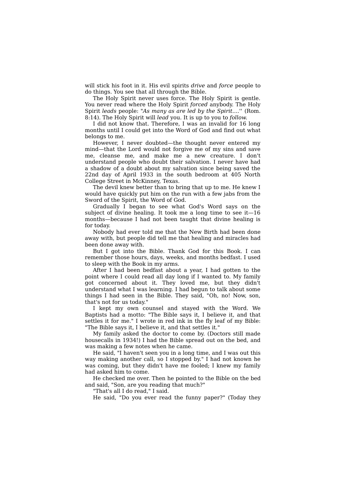will stick his foot in it. His evil spirits *drive* and *force* people to do things. You see that all through the Bible.

The Holy Spirit never uses force. The Holy Spirit is gentle. You never read where the Holy Spirit *forced* anybody. The Holy Spirit *leads* people: *"As many as are led by the Spirit....''* (Rom. 8:14). The Holy Spirit will *lead* you. It is up to you to *follow.*

I did not know that. Therefore, I was an invalid for 16 long months until I could get into the Word of God and find out what belongs to me.

However, I never doubted—the thought never entered my mind—that the Lord would not forgive me of my sins and save me, cleanse me, and make me a new creature. I don't understand people who doubt their salvation. I never have had a shadow of a doubt about my salvation since being saved the 22nd day of April 1933 in the south bedroom at 405 North College Street in McKinney, Texas.

The devil knew better than to bring that up to me. He knew I would have quickly put him on the run with a few jabs from the Sword of the Spirit, the Word of God.

Gradually I began to see what God's Word says on the subject of divine healing. It took me a long time to see it—16 months—because I had not been taught that divine healing is for today.

Nobody had ever told me that the New Birth had been done away with, but people did tell me that healing and miracles had been done away with.

But I got into the Bible. Thank God for this Book. I can remember those hours, days, weeks, and months bedfast. I used to sleep with the Book in my arms.

After I had been bedfast about a year, I had gotten to the point where I could read all day long if I wanted to. My family got concerned about it. They loved me, but they didn't understand what I was learning. I had begun to talk about some things I had seen in the Bible. They said, "Oh, no! Now, son, that's not for us today."

I kept my own counsel and stayed with the Word. We Baptists had a motto: "The Bible says it, I believe it, and that settles it for me." I wrote in red ink in the fly leaf of my Bible: "The Bible says it, I believe it, and that settles it."

My family asked the doctor to come by. (Doctors still made housecalls in 1934!) I had the Bible spread out on the bed, and was making a few notes when he came.

He said, "I haven't seen you in a long time, and I was out this way making another call, so I stopped by." I had not known he was coming, but they didn't have me fooled; I knew my family had asked him to come.

He checked me over. Then he pointed to the Bible on the bed and said, "Son, are you reading that much?"

"That's all I do read," I said.

He said, "Do you ever read the funny paper?" (Today they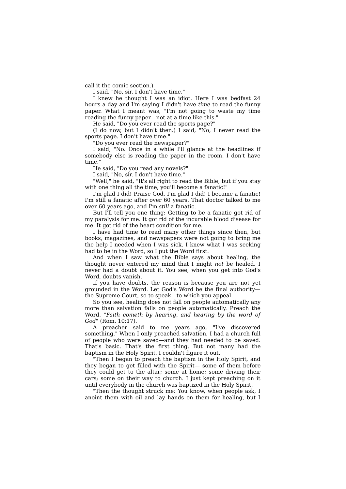call it the comic section.)

I said, "No, sir. I don't have time."

I knew he thought I was an idiot. Here I was bedfast 24 hours a day and I'm saying I didn't have *time* to read the funny paper. What I meant was, "I'm not going to waste my time reading the funny paper—not at a time like this."

He said, "Do you ever read the sports page?"

(I do now, but I didn't then.) I said, "No, I never read the sports page. I don't have time."

"Do you ever read the newspaper?"

I said, "No. Once in a while I'll glance at the headlines if somebody else is reading the paper in the room. I don't have time."

He said, "Do you read any novels?"

I said, "No, sir. I don't have time."

"Well," he said, "It's all right to read the Bible, but if you stay with one thing all the time, you'll become a fanatic!"

I'm glad I did! Praise God, I'm glad I did! I became a fanatic! I'm still a fanatic after over 60 years. That doctor talked to me over 60 years ago, and I'm *still* a fanatic.

But I'll tell you one thing: Getting to be a fanatic got rid of my paralysis for me. It got rid of the incurable blood disease for me. It got rid of the heart condition for me.

I have had time to read many other things since then, but books, magazines, and newspapers were not going to bring me the help I needed when I was sick. I knew what I was seeking had to be in the Word, so I put the Word first.

And when I saw what the Bible says about healing, the thought never entered my mind that I might *not* be healed. I never had a doubt about it. You see, when you get into God's Word, doubts vanish.

If you have doubts, the reason is because you are not yet grounded in the Word. Let God's Word be the final authority the Supreme Court, so to speak—to which you appeal.

So you see, healing does not fall on people automatically any more than salvation falls on people automatically. Preach the Word. *"Faith cometh by hearing, and hearing by the word of God"* (Rom. 10:17).

A preacher said to me years ago, "I've discovered something." When I only preached salvation, I had a church full of people who were saved—and they had needed to be saved. That's basic. That's the first thing. But not many had the baptism in the Holy Spirit. I couldn't figure it out.

"Then I began to preach the baptism in the Holy Spirit, and they began to get filled with the Spirit— some of them before they could get to the altar; some at home; some driving their cars; some on their way to church. I just kept preaching on it until everybody in the church was baptized in the Holy Spirit.

"Then the thought struck me: You know, when people ask, I anoint them with oil and lay hands on them for healing, but I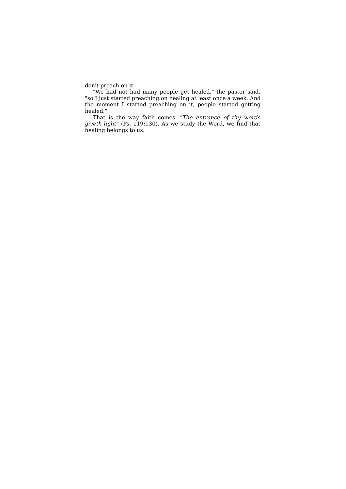don't preach on it.

"We had not had many people get healed," the pastor said, "so I just started preaching on healing at least once a week. And the moment I started preaching on it, people started getting healed."

That is the way faith comes. *"The entrance of thy words giveth light"* (Ps. 119:130). As we study the Word, we find that healing belongs to us.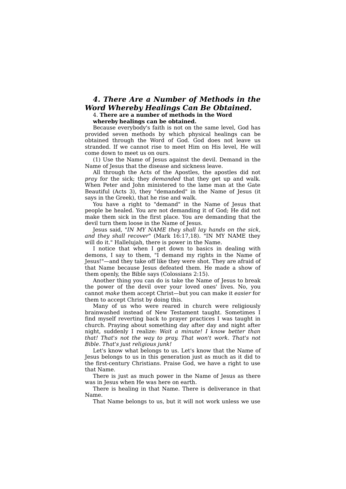# *4. There Are a Number of Methods in the Word Whereby Healings Can Be Obtained.*

4. **There are a number of methods in the Word whereby healings can be obtained.**

Because everybody's faith is not on the same level, God has provided seven methods by which physical healings can be obtained through the Word of God. God does not leave us stranded. If we cannot rise to meet Him on His level, He will come down to meet us on ours.

(1) Use the Name of Jesus against the devil. Demand in the Name of Jesus that the disease and sickness leave.

All through the Acts of the Apostles, the apostles did not *pray* for the sick; they *demanded* that they get up and walk. When Peter and John ministered to the lame man at the Gate Beautiful (Acts 3), they "demanded" in the Name of Jesus (it says in the Greek), that he rise and walk.

You have a right to "demand" in the Name of Jesus that people be healed. You are not demanding it of God; He did not make them sick in the first place. You are demanding that the devil turn them loose in the Name of Jesus.

Jesus said, *"IN MY NAME they shall lay hands on the sick, and they shall recover"* (Mark 16:17,18). "IN MY NAME they will do it." Hallelujah, there is power in the Name.

I notice that when I get down to basics in dealing with demons, I say to them, "I demand my rights in the Name of Jesus!"—and they take off like they were shot. They are afraid of that Name because Jesus defeated them. He made a show of them openly, the Bible says (Colossians 2:15).

Another thing you can do is take the Name of Jesus to break the power of the devil over your loved ones' lives. No, you cannot *make* them accept Christ—but you can make it *easier* for them to accept Christ by doing this.

Many of us who were reared in church were religiously brainwashed instead of New Testament taught. Sometimes I find myself reverting back to prayer practices I was taught in church. Praying about something day after day and night after night, suddenly I realize: *Wait a minute! I know better than that! That's not the way to pray. That won't work. That's not Bible. That's just religious junk!*

Let's know what belongs to us. Let's know that the Name of Jesus belongs to us in this generation just as much as it did to the first-century Christians. Praise God, we have a right to use that Name.

There is just as much power in the Name of Jesus as there was in Jesus when He was here on earth.

There is healing in that Name. There is deliverance in that Name.

That Name belongs to us, but it will not work unless we use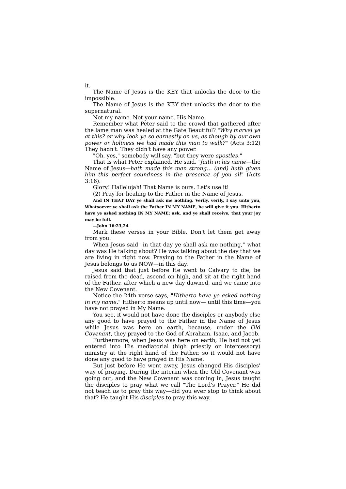The Name of Jesus is the KEY that unlocks the door to the impossible.

The Name of Jesus is the KEY that unlocks the door to the supernatural.

Not my name. Not your name. His Name.

Remember what Peter said to the crowd that gathered after the lame man was healed at the Gate Beautiful? *"Why marvel ye at this? or why look ye so earnestly on us, as though by our own power or holiness we had made this man to walk?"* (Acts 3:12) They hadn't. They didn't have any power.

"Oh, yes," somebody will say, "but they were *apostles."*

That is what Peter explained. He said, *"faith in his name*—the Name of Jesus—*hath made this man strong... (and) hath given him this perfect soundness in the presence of you all"* (Acts 3:16).

Glory! Hallelujah! That Name is ours. Let's use it!

(2) Pray for healing to the Father in the Name of Jesus.

**And IN THAT DAY ye shall ask me nothing. Verily, verily, I say unto you, Whatsoever ye shall ask the Father IN MY NAME, he will give it you. Hitherto have ye asked nothing IN MY NAME: ask, and ye shall receive, that your joy may be full.**

**—John 16:23,24**

Mark these verses in your Bible. Don't let them get away from you.

When Jesus said "in that day ye shall ask me nothing," what day was He talking about? He was talking about the day that we are living in right now. Praying to the Father in the Name of Jesus belongs to us NOW—in this day.

Jesus said that just before He went to Calvary to die, be raised from the dead, ascend on high, and sit at the right hand of the Father, after which a new day dawned, and we came into the New Covenant.

Notice the 24th verse says, *"Hitherto have ye asked nothing in my name."* Hitherto means up until now— until this time—you have not prayed in My Name.

You see, it would not have done the disciples or anybody else any good to have prayed to the Father in the Name of Jesus while Jesus was here on earth, because, under the *Old Covenant,* they prayed to the God of Abraham, Isaac, and Jacob.

Furthermore, when Jesus was here on earth, He had not yet entered into His mediatorial (high priestly or intercessory) ministry at the right hand of the Father, so it would not have done any good to have prayed in His Name.

But just before He went away, Jesus changed His disciples' way of praying. During the interim when the Old Covenant was going out, and the New Covenant was coming in, Jesus taught the disciples to pray what we call "The Lord's Prayer." He did not teach *us* to pray this way—did you ever stop to think about that? He taught His *disciples* to pray this way.

it.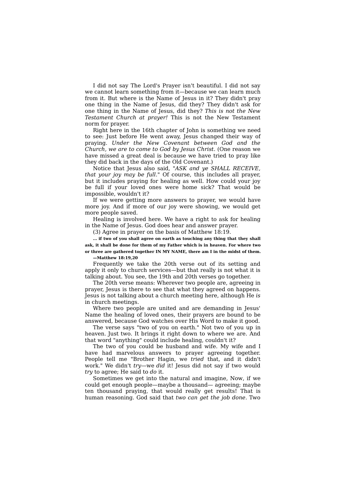I did not say The Lord's Prayer isn't beautiful. I did not say we cannot learn something from it—because we can learn much from it. But where is the Name of Jesus in it? They didn't pray one thing in the Name of Jesus, did they? They didn't ask for one thing in the Name of Jesus, did they? *This is not the New Testament Church at prayer!* This is not the New Testament norm for prayer.

Right here in the 16th chapter of John is something we need to see: Just before He went away, Jesus changed their way of praying. *Under the New Covenant between God and the Church, we are to come to God by Jesus Christ.* (One reason we have missed a great deal is because we have tried to pray like they did back in the days of the Old Covenant.)

Notice that Jesus also said, *"ASK and ye SHALL RECEIVE, that your joy may be full."* Of course, this includes all prayer, but it includes praying for healing as well. How could your joy be full if your loved ones were home sick? That would be impossible, wouldn't it?

If we were getting more answers to prayer, we would have more joy. And if more of our joy were showing, we would get more people saved.

Healing is involved here. We have a right to ask for healing in the Name of Jesus. God does hear and answer prayer.

(3) Agree in prayer on the basis of Matthew 18:19.

**... if two of you shall agree on earth as touching any thing that they shall ask, it shall be done for them of my Father which is in heaven. For where two or three are gathered together IN MY NAME, there am I in the midst of them.**

**—Matthew 18:19,20**

Frequently we take the 20th verse out of its setting and apply it only to church services—but that really is not what it is talking about. You see, the 19th and 20th verses go together.

The 20th verse means: Wherever two people are, agreeing in prayer, Jesus is there to see that what they agreed on happens. Jesus is not talking about a church meeting here, although He *is* in church meetings.

Where two people are united and are demanding in Jesus' Name the healing of loved ones, their prayers are bound to be answered, because God watches over His Word to make it good.

The verse says "two of you on earth." Not two of you up in heaven. Just two. It brings it right down to where we are. And that word "anything" could include healing, couldn't it?

The two of you could be husband and wife. My wife and I have had marvelous answers to prayer agreeing together. People tell me "Brother Hagin, we *tried* that, and it didn't work." We didn't *try*—we *did* it! Jesus did not say if two would *try* to agree; He said to *do* it.

Sometimes we get into the natural and imagine, Now, if we could get enough people—maybe a thousand— agreeing; maybe ten thousand praying, that would really get results! That is human reasoning. God said that *two can get the job done.* Two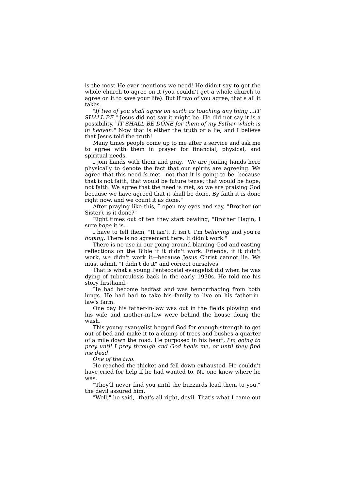is the most He ever mentions we need! He didn't say to get the whole church to agree on it (you couldn't get a whole church to agree on it to save your life). But if two of you agree, that's all it takes.

*"If two of you shall agree on earth as touching any thing ...IT SHALL BE."* Jesus did not say it might be. He did not say it is a possibility. *"IT SHALL BE DONE for them of my Father which is in heaven."* Now that is either the truth or a lie, and I believe that Jesus told the truth!

Many times people come up to me after a service and ask me to agree with them in prayer for financial, physical, and spiritual needs.

I join hands with them and pray, "We are joining hands here physically to denote the fact that our spirits are agreeing. We agree that this need *is* met—not that it is going to be, because that is not faith, that would be future tense; that would be hope, not faith. We agree that the need is met, so we are praising God because we have agreed that it shall be done. By faith it is done right now, and we count it as done."

After praying like this, I open my eyes and say, "Brother (or Sister), is it done?"

Eight times out of ten they start bawling, "Brother Hagin, I sure *hope* it is."

I have to tell them, "It isn't. It isn't. I'm *believing* and you're *hoping.* There is no agreement here. It didn't work."

There is no use in our going around blaming God and casting reflections on the Bible if it didn't work. Friends, if it didn't work, *we* didn't work it—because Jesus Christ cannot lie. We must admit, "I didn't do it" and correct ourselves.

That is what a young Pentecostal evangelist did when he was dying of tuberculosis back in the early 1930s. He told me his story firsthand.

He had become bedfast and was hemorrhaging from both lungs. He had had to take his family to live on his father-inlaw's farm.

One day his father-in-law was out in the fields plowing and his wife and mother-in-law were behind the house doing the wash.

This young evangelist begged God for enough strength to get out of bed and make it to a clump of trees and bushes a quarter of a mile down the road. He purposed in his heart, *I'm going to pray until I pray through and God heals me, or until they find me dead.*

*One of the two.*

He reached the thicket and fell down exhausted. He couldn't have cried for help if he had wanted to. No one knew where he was.

"They'll never find you until the buzzards lead them to you," the devil assured him.

"Well," he said, "that's all right, devil. That's what I came out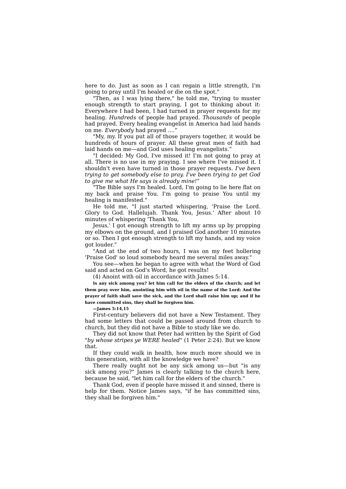here to do. Just as soon as I can regain a little strength, I'm going to pray until I'm healed or die on the spot."

"Then, as I was lying there," he told me, "trying to muster enough strength to start praying, I got to thinking about it: Everywhere I had been, I had turned in prayer requests for my healing. *Hundreds* of people had prayed. *Thousands* of people had prayed. Every healing evangelist in America had laid hands on me. *Everybody* had prayed ...."

"My, my. If you put all of those prayers together, it would be hundreds of hours of prayer. All these great men of faith had laid hands on me—and God uses healing evangelists."

"I decided: My God, I've missed it! I'm not going to pray at all. There is no use in my praying. I see where I've missed it. I shouldn't even have turned in those prayer requests. *I've been trying to get somebody else to pray. I've been trying to get God to give me what He says is already mine!"*

"The Bible says I'm healed. Lord, I'm going to lie here flat on my back and praise You. I'm going to praise You until my healing is manifested."

He told me, "I just started whispering, 'Praise the Lord. Glory to God. Hallelujah. Thank You, Jesus.' After about 10 minutes of whispering 'Thank You,

Jesus,' I got enough strength to lift my arms up by propping my elbows on the ground, and I praised God another 10 minutes or so. Then I got enough strength to lift my hands, and my voice got louder."

"And at the end of two hours, I was on my feet hollering 'Praise God' so loud somebody heard me several miles away."

You see—when he began to agree with what the Word of God said and acted on God's Word, he got results!

(4) Anoint with oil in accordance with James 5:14.

**Is any sick among you? let him call for the elders of the church; and let them pray over him, anointing him with oil in the name of the Lord: And the prayer of faith shall save the sick, and the Lord shall raise him up; and if he have committed sins, they shall be forgiven him.**

**—James 5:14,15**

First-century believers did not have a New Testament. They had some letters that could be passed around from church to church, but they did not have a Bible to study like we do.

They did not know that Peter had written by the Spirit of God *"by whose stripes ye WERE healed"* (1 Peter 2:24). But we know that.

If they could walk in health, how much more should we in this generation, with all the knowledge we have?

There really ought not be any sick among us—but "is any sick among you?" James is clearly talking to the church here, because he said, "let him call for the elders of the church."

Thank God, even if people have missed it and sinned, there is help for them. Notice James says, "if he has committed sins, they shall be forgiven him."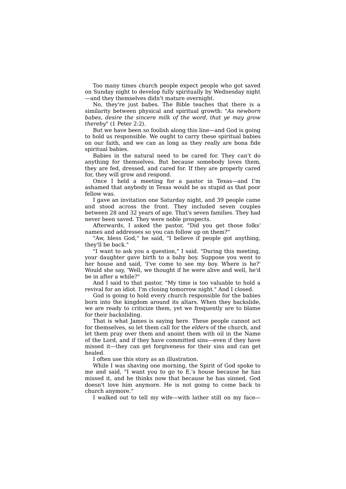Too many times church people expect people who got saved on Sunday night to develop fully spiritually by Wednesday night —and they themselves didn't mature overnight.

No, they're just babes. The Bible teaches that there is a similarity between physical and spiritual growth: *"As newborn babes, desire the sincere milk of the word, that ye may grow thereby"* (1 Peter 2:2).

But we have been so foolish along this line—and God is going to hold us responsible. We ought to carry these spiritual babies on our faith, and we can as long as they really are bona fide spiritual babies.

Babies in the natural need to be cared for. They can't do anything for themselves. But because somebody loves them, they are fed, dressed, and cared for. If they are properly cared for, they will grow and respond.

Once I held a meeting for a pastor in Texas—and I'm ashamed that anybody in Texas would be as stupid as that poor fellow was.

I gave an invitation one Saturday night, and 39 people came and stood across the front. They included seven couples between 28 and 32 years of age. That's seven families. They had never been saved. They were noble prospects.

Afterwards, I asked the pastor, "Did you get those folks' names and addresses so you can follow up on them?"

"Aw, bless God," he said, "I believe if people got anything, they'll be back."

"I want to ask you a question," I said. "During this meeting, your daughter gave birth to a baby boy. Suppose you went to her house and said, 'I've come to see my boy. Where is he?' Would she say, 'Well, we thought if he were alive and well, he'd be in after a while?"

And I said to that pastor, "My time is too valuable to hold a revival for an idiot. I'm closing tomorrow night." And I closed.

God is going to hold every church responsible for the babies born into the kingdom around its altars. When they backslide, we are ready to criticize them, yet we frequently are to blame for their backsliding.

That is what James is saying here. These people cannot act for themselves, so let them call for the *elders* of the church, and let them pray over them and anoint them with oil in the Name of the Lord, and if they have committed sins—even if they have missed it—they can get forgiveness for their sins and can get healed.

I often use this story as an illustration.

While I was shaving one morning, the Spirit of God spoke to me and said, "I want you to go to E.'s house because he has missed it, and he thinks now that because he has sinned, God doesn't love him anymore. He is not going to come back to church anymore."

I walked out to tell my wife—with lather still on my face—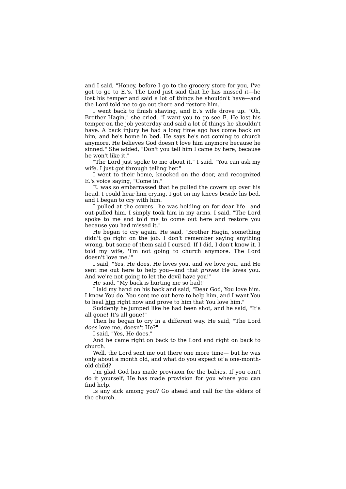and I said, "Honey, before I go to the grocery store for you, I've got to go to E.'s. The Lord just said that he has missed it—he lost his temper and said a lot of things he shouldn't have—and the Lord told me to go out there and restore him."

I went back to finish shaving, and E.'s wife drove up. "Oh, Brother Hagin," she cried, "I want you to go see E. He lost his temper on the job yesterday and said a lot of things he shouldn't have. A back injury he had a long time ago has come back on him, and he's home in bed. He says he's not coming to church anymore. He believes God doesn't love him anymore because he sinned." She added, "Don't you tell him I came by here, because he won't like it."

"The Lord just spoke to me about it," I said. "You can ask my wife. I just got through telling her."

I went to their home, knocked on the door, and recognized E.'s voice saying, "Come in."

E. was so embarrassed that he pulled the covers up over his head. I could hear him crying. I got on my knees beside his bed, and I began to cry with him.

I pulled at the covers—he was holding on for dear life—and out-pulled him. I simply took him in my arms. I said, "The Lord spoke to me and told me to come out here and restore you because you had missed it."

He began to cry again. He said, "Brother Hagin, something didn't go right on the job. I don't remember saying anything wrong, but some of them said I cursed. If I did, I don't know it. I told my wife, 'I'm not going to church anymore. The Lord doesn't love me.'"

I said, "Yes, He does. He loves you, and we love you, and He sent me out here to help you—and that *proves* He loves you. And we're not going to let the devil have you!"

He said, "My back is hurting me so bad!"

I laid my hand on his back and said, "Dear God, You love him. I know You do. You sent me out here to help him, and I want You to heal him right now and prove to him that You love him."

Suddenly he jumped like he had been shot, and he said, "It's all gone! It's all gone!"

Then he began to cry in a different way. He said, "The Lord *does* love me, doesn't He?"

I said, "Yes, He does."

And he came right on back to the Lord and right on back to church.

Well, the Lord sent me out there one more time— but he was only about a month old, and what do you expect of a one-monthold child?

I'm glad God has made provision for the babies. If you can't do it yourself, He has made provision for you where you can find help.

Is any sick among you? Go ahead and call for the elders of the church.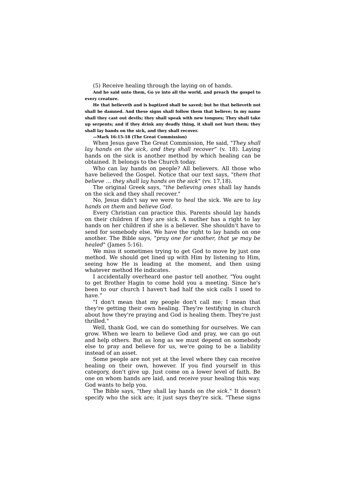(5) Receive healing through the laying on of hands.

**And he said unto them, Go ye into all the world, and preach the gospel to every creature.**

**He that believeth and is baptized shall be saved; but he that believeth not shall be damned. And these signs shall follow them that believe; In my name shall they cast out devils; they shall speak with new tongues; They shall take up serpents; and if they drink any deadly thing, it shall not hurt them; they shall lay hands on the sick, and they shall recover.**

**—Mark 16:15-18 (The Great Commission)**

When Jesus gave The Great Commission, He said, *"They shall lay hands on the sick, and they shall recover"* (v. 18). Laying hands on the sick is another method by which healing can be obtained. It belongs to the Church today.

Who can lay hands on people? All believers. All those who have believed the Gospel. Notice that our text says, *"them that believe ... they shall lay hands on the sick"* (vv. 17,18).

The original Greek says, *"the believing ones* shall lay hands on the sick and they shall recover."

No, Jesus didn't say we were to *heal* the sick. We are to *lay hands on them* and *believe God.*

Every Christian can practice this. Parents should lay hands on their children if they are sick. A mother has a right to lay hands on her children if she is a believer. She shouldn't have to send for somebody else. We have the right to lay hands on one another. The Bible says, *"pray one for another, that ye may be healed"* (James 5:16).

We miss it sometimes trying to get God to move by just one method. We should get lined up with Him by listening to Him, seeing how He is leading at the moment, and then using whatever method He indicates.

I accidentally overheard one pastor tell another, "You ought to get Brother Hagin to come hold you a meeting. Since he's been to our church I haven't had half the sick calls I used to have."

"I don't mean that my people don't call me; I mean that they're getting their own healing. They're testifying in church about how they're praying and God is healing them. They're just thrilled."

Well, thank God, we can do something for ourselves. We can grow. When we learn to believe God and pray, we can go out and help others. But as long as we must depend on somebody else to pray and believe for us, we're going to be a liability instead of an asset.

Some people are not yet at the level where they can receive healing on their own, however. If you find yourself in this category, don't give up. Just come on a lower level of faith. Be one on whom hands are laid, and receive your healing this way. God wants to help you.

The Bible says, "they shall lay hands on *the sick."* It doesn't specify who the sick are; it just says they're sick. "These signs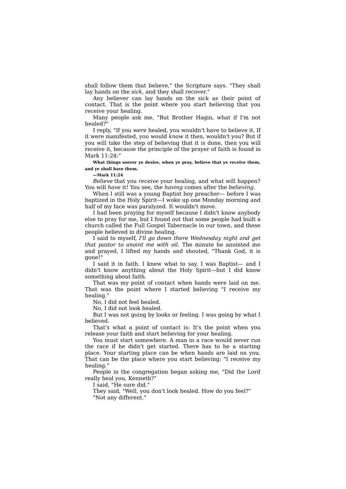shall follow them that believe," the Scripture says. "They shall lay hands on the *sick,* and they shall recover."

Any believer can lay hands on the sick as their point of contact. That is the point where you start believing that you receive your healing.

Many people ask me, "But Brother Hagin, what if I'm not healed?"

I reply, "If you *were* healed, you wouldn't have to believe it. If it were manifested, you would *know* it then, wouldn't you? But if you will take the step of believing that it is done, then you will receive it, because the principle of the prayer of faith is found in Mark 11:24:"

#### **What things soever ye desire, when ye pray, believe that ye receive them, and ye shall have them.**

**—Mark 11:24**

*Believe* that you *receive* your healing, and what will happen? You will *have* it! You see, the *having* comes after the *believing.*

When I still was a young Baptist boy preacher— before I was baptized in the Holy Spirit—I woke up one Monday morning and half of my face was paralyzed. It wouldn't move.

I had been praying for myself because I didn't know anybody else to pray for me, but I found out that some people had built a church called the Full Gospel Tabernacle in our town, and these people believed in divine healing.

I said to myself, *I'll go down there Wednesday night and get that pastor to anoint me with oil.* The minute he anointed me and prayed, I lifted my hands and shouted, "Thank God, it is gone!"

I said it in faith. I knew what to say. I was Baptist— and I didn't know anything about the Holy Spirit—but I did know something about faith.

That was my point of contact when hands were laid on me. That was the point where I started believing "I receive my healing."

No, I did not feel healed.

No, I did not look healed.

But I was not going by looks or feeling. I was going by what I believed.

That's what a point of contact is: It's the point when you release your faith and start believing for your healing.

You must start somewhere. A man in a race would never run the race if he didn't get started. There has to be a starting place. Your starting place can be when hands are laid on you. That can be the place where you start believing: "I receive my healing."

People in the congregation began asking me, "Did the Lord really heal you, Kenneth?"

I said, "He sure did."

They said, "Well, you don't look healed. How do you feel?" "Not any different."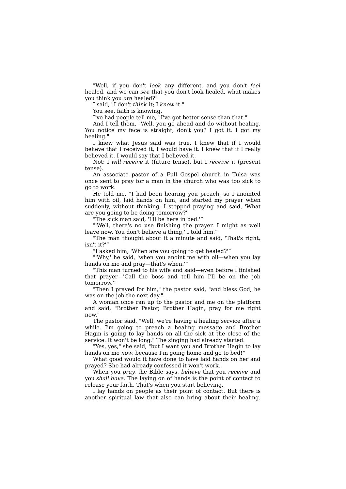"Well, if you don't *look* any different, and you don't *feel* healed, and we can *see* that you don't look healed, what makes you think you *are* healed?"

I said, "I don't *think* it; I *know* it."

You see, faith is knowing.

I've had people tell me, "I've got better sense than that."

And I tell them, "Well, you go ahead and do without healing. You notice my face is straight, don't you? I got it. I got my healing."

I knew what Jesus said was true. I knew that if I would believe that I received it, I would have it. I knew that if I really believed it, I would say that I believed it.

Not: I *will receive* it (future tense), but I *receive* it (present tense).

An associate pastor of a Full Gospel church in Tulsa was once sent to pray for a man in the church who was too sick to go to work.

He told me, "I had been hearing you preach, so I anointed him with oil, laid hands on him, and started my prayer when suddenly, without thinking, I stopped praying and said, 'What are you going to be doing tomorrow?'

"The sick man said, 'I'll be here in bed.'"

"'Well, there's no use finishing the prayer. I might as well leave now. You don't believe a thing,' I told him."

"The man thought about it a minute and said, 'That's right, isn't it?'"

"I asked him, 'When are you going to get healed?'"

"'Why,' he said, 'when you anoint me with oil—when you lay hands on me and pray—that's when.'"

"This man turned to his wife and said—even before I finished that prayer—'Call the boss and tell him I'll be on the job tomorrow.'"

"Then I prayed for him," the pastor said, "and bless God, he was on the job the next day."

A woman once ran up to the pastor and me on the platform and said, "Brother Pastor, Brother Hagin, pray for me right now."

The pastor said, "Well, we're having a healing service after a while. I'm going to preach a healing message and Brother Hagin is going to lay hands on all the sick at the close of the service. It won't be long." The singing had already started.

"Yes, yes," she said, "but I want you and Brother Hagin to lay hands on me *now,* because I'm going home and go to bed!"

What good would it have done to have laid hands on her and prayed? She had already confessed it won't work.

When you *pray,* the Bible says, *believe* that you *receive* and you *shall have.* The laying on of hands is the point of contact to release your faith. That's when you start believing.

I lay hands on people as their point of contact. But there is another spiritual law that also can bring about their healing.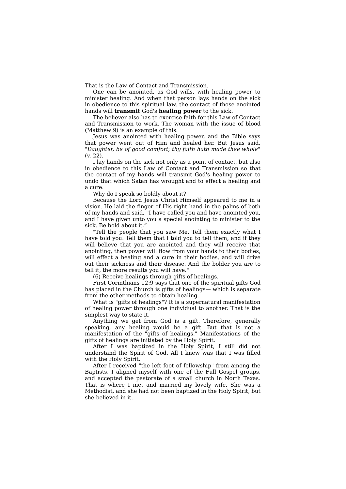That is the Law of Contact and Transmission.

One can be anointed, as God wills, with healing power to minister healing. And when that person lays hands on the sick in obedience to this spiritual law, the contact of those anointed hands will **transmit** God's **healing power** to the sick.

The believer also has to exercise faith for this Law of Contact and Transmission to work. The woman with the issue of blood (Matthew 9) is an example of this.

Jesus was anointed with healing power, and the Bible says that power went out of Him and healed her. But Jesus said, *"Daughter, be of good comfort; thy faith hath made thee whole"* (v. 22).

I lay hands on the sick not only as a point of contact, but also in obedience to this Law of Contact and Transmission so that the contact of my hands will transmit God's healing power to undo that which Satan has wrought and to effect a healing and a cure.

Why do I speak so boldly about it?

Because the Lord Jesus Christ Himself appeared to me in a vision. He laid the finger of His right hand in the palms of both of my hands and said, "I have called you and have anointed you, and I have given unto you a special anointing to minister to the sick. Be bold about it.'

"Tell the people that you saw Me. Tell them exactly what I have told you. Tell them that I told you to tell them, and if they will believe that you are anointed and they will receive that anointing, then power will flow from your hands to their bodies, will effect a healing and a cure in their bodies, and will drive out their sickness and their disease. And the bolder you are to tell it, the more results you will have."

(6) Receive healings through gifts of healings.

First Corinthians 12:9 says that one of the spiritual gifts God has placed in the Church is gifts of healings— which is separate from the other methods to obtain healing.

What is "gifts of healings"? It is a supernatural manifestation of healing power through one individual to another. That is the simplest way to state it.

Anything we get from God is a gift. Therefore, generally speaking, any healing would be a gift. But that is not a manifestation of the "gifts of healings." Manifestations of the gifts of healings are initiated by the Holy Spirit.

After I was baptized in the Holy Spirit, I still did not understand the Spirit of God. All I knew was that I was filled with the Holy Spirit.

After I received "the left foot of fellowship" from among the Baptists, I aligned myself with one of the Full Gospel groups, and accepted the pastorate of a small church in North Texas. That is where I met and married my lovely wife. She was a Methodist, and she had not been baptized in the Holy Spirit, but she believed in it.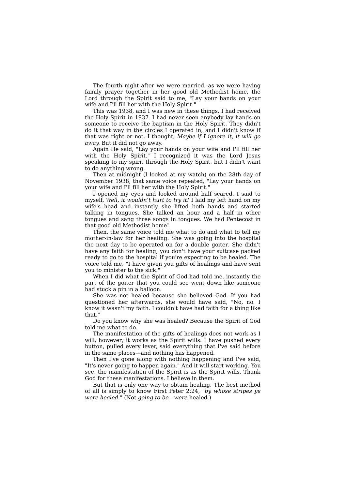The fourth night after we were married, as we were having family prayer together in her good old Methodist home, the Lord through the Spirit said to me, "Lay your hands on your wife and I'll fill her with the Holy Spirit."

This was 1938, and I was new in these things. I had received the Holy Spirit in 1937. I had never seen anybody lay hands on someone to receive the baptism in the Holy Spirit. They didn't do it that way in the circles I operated in, and I didn't know if that was right or not. I thought, *Maybe if I ignore it, it will go away.* But it did not go away.

Again He said, "Lay your hands on your wife and I'll fill her with the Holy Spirit." I recognized it was the Lord Jesus speaking to my spirit through the Holy Spirit, but I didn't want to do anything wrong.

Then at midnight (I looked at my watch) on the 28th day of November 1938, that same voice repeated, "Lay your hands on your wife and I'll fill her with the Holy Spirit."

I opened my eyes and looked around half scared. I said to myself, *Well, it wouldn't hurt to try it!* I laid my left hand on my wife's head and instantly she lifted both hands and started talking in tongues. She talked an hour and a half in other tongues and sang three songs in tongues. We had Pentecost in that good old Methodist home!

Then, the same voice told me what to do and what to tell my mother-in-law for her healing. She was going into the hospital the next day to be operated on for a double goiter. She didn't have any faith for healing; you don't have your suitcase packed ready to go to the hospital if you're expecting to be healed. The voice told me, "I have given you gifts of healings and have sent you to minister to the sick."

When I did what the Spirit of God had told me, instantly the part of the goiter that you could see went down like someone had stuck a pin in a balloon.

She was not healed because she believed God. If you had questioned her afterwards, she would have said, "No, no. I know it wasn't my faith. I couldn't have had faith for a thing like that."

Do you know why she was healed? Because the Spirit of God told me what to do.

The manifestation of the gifts of healings does not work as I will, however; it works as the Spirit wills. I have pushed every button, pulled every lever, said everything that I've said before in the same places—and nothing has happened.

Then I've gone along with nothing happening and I've said, "It's never going to happen again." And it will start working. You see, the manifestation of the Spirit is as the Spirit wills. Thank God for these manifestations. I believe in them.

But that is only one way to obtain healing. The best method of all is simply to know First Peter 2:24, *"by whose stripes ye were healed."* (Not *going to be—were* healed.)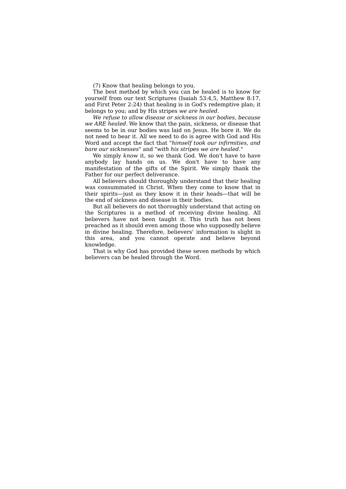(7) Know that healing belongs to you.

The best method by which you can be healed is to know for yourself from our text Scriptures (Isaiah 53:4,5, Matthew 8:17, and First Peter 2:24) that healing is in God's redemptive plan; it belongs to you; and by His stripes *we are healed.*

*We refuse to allow disease or sickness in our bodies, because we ARE healed.* We know that the pain, sickness, or disease that seems to be in our bodies was laid on Jesus. He bore it. We do not need to bear it. All we need to do is agree with God and His Word and accept the fact that *"himself took our infirmities, and bare our sicknesses"* and *"with his stripes we are healed."*

We simply *know* it, so we thank God. We don't have to have anybody lay hands on us. We don't have to have any manifestation of the gifts of the Spirit. We simply thank the Father for our perfect deliverance.

All believers should thoroughly understand that their healing was consummated in Christ. When they come to know that in their spirits—just as they know it in their heads—that will be the end of sickness and disease in their bodies.

But all believers do not thoroughly understand that acting on the Scriptures is a method of receiving divine healing. All believers have not been taught it. This truth has not been preached as it should even among those who supposedly believe in divine healing. Therefore, believers' information is slight in this area, and you cannot operate and believe beyond knowledge.

That is why God has provided these seven methods by which believers can be healed through the Word.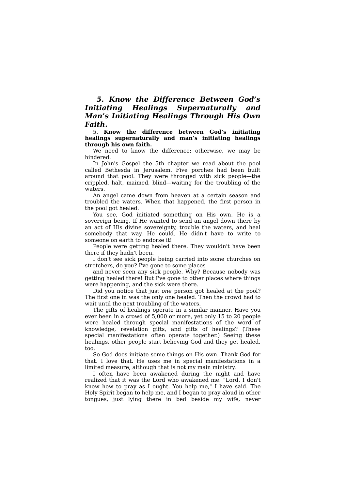*5. Know the Difference Between God's Initiating Healings Supernaturally and Man's Initiating Healings Through His Own Faith.*

5. **Know the difference between God's initiating healings supernaturally and man's initiating healings through his own faith.**

We need to know the difference; otherwise, we may be hindered.

In John's Gospel the 5th chapter we read about the pool called Bethesda in Jerusalem. Five porches had been built around that pool. They were thronged with sick people—the crippled, halt, maimed, blind—waiting for the troubling of the waters.

An angel came down from heaven at a certain season and troubled the waters. When that happened, the first person in the pool got healed.

You see, God initiated something on His own. He is a sovereign being. If He wanted to send an angel down there by an act of His divine sovereignty, trouble the waters, and heal somebody that way, He could. He didn't have to write to someone on earth to endorse it!

People were getting healed there. They wouldn't have been there if they hadn't been.

I don't see sick people being carried into some churches on stretchers, do you? I've gone to some places

and never seen any sick people. Why? Because nobody was getting healed there! But I've gone to other places where things were happening, and the sick were there.

Did you notice that just *one* person got healed at the pool? The first one in was the only one healed. Then the crowd had to wait until the next troubling of the waters.

The gifts of healings operate in a similar manner. Have you ever been in a crowd of 5,000 or more, yet only 15 to 20 people were healed through special manifestations of the word of knowledge, revelation gifts, and gifts of healings? (These special manifestations often operate together.) Seeing these healings, other people start believing God and they get healed, too.

So God does initiate some things on His own. Thank God for that. I love that. He uses me in special manifestations in a limited measure, although that is not my main ministry.

I often have been awakened during the night and have realized that it was the Lord who awakened me. "Lord, I don't know how to pray as I ought. You help me," I have said. The Holy Spirit began to help me, and I began to pray aloud in other tongues, just lying there in bed beside my wife, never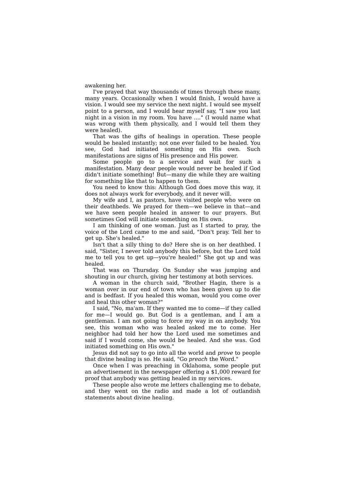awakening her.

I've prayed that way thousands of times through these many, many years. Occasionally when I would finish, I would have a vision. I would see my service the next night. I would see myself point to a person, and I would hear myself say, "I saw you last night in a vision in my room. You have ...." (I would name what was wrong with them physically, and I would tell them they were healed).

That was the gifts of healings in operation. These people would be healed instantly; not one ever failed to be healed. You see, God had initiated something on His own. Such manifestations are signs of His presence and His power.

Some people go to a service and wait for such a manifestation. Many dear people would never be healed if God didn't initiate something! But—many die while they are waiting for something like that to happen to them.

You need to know this: Although God does move this way, it does not always work for everybody, and it never will.

My wife and I, as pastors, have visited people who were on their deathbeds. We prayed for them—we believe in that—and we have seen people healed in answer to our prayers. But sometimes God will initiate something on His own.

I am thinking of one woman. Just as I started to pray, the voice of the Lord came to me and said, "Don't pray. Tell her to get up. She's healed."

Isn't that a silly thing to do? Here she is on her deathbed. I said, "Sister, I never told anybody this before, but the Lord told me to tell you to get up—you're healed!" She got up and was healed.

That was on Thursday. On Sunday she was jumping and shouting in our church, giving her testimony at both services.

A woman in the church said, "Brother Hagin, there is a woman over in our end of town who has been given up to die and is bedfast. If you healed this woman, would you come over and heal this other woman?"

I said, "No, ma'am. If they wanted me to come—if they called for me—I would go. But God is a gentleman, and I am a gentleman. I am not going to force my way in on anybody. You see, this woman who was healed asked me to come. Her neighbor had told her how the Lord used me sometimes and said if I would come, she would be healed. And she was. God initiated something on His own."

Jesus did not say to go into all the world and *prove* to people that divine healing is so. He said, "Go *preach* the Word."

Once when I was preaching in Oklahoma, some people put an advertisement in the newspaper offering a \$1,000 reward for proof that anybody was getting healed in my services.

These people also wrote me letters challenging me to debate, and they went on the radio and made a lot of outlandish statements about divine healing.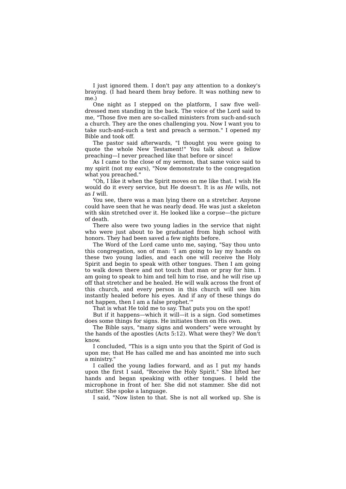I just ignored them. I don't pay any attention to a donkey's braying. (I had heard them bray before. It was nothing new to me.)

One night as I stepped on the platform, I saw five welldressed men standing in the back. The voice of the Lord said to me, "Those five men are so-called ministers from such-and-such a church. They are the ones challenging you. Now I want you to take such-and-such a text and preach a sermon." I opened my Bible and took off.

The pastor said afterwards, "I thought you were going to quote the whole New Testament!" You talk about a fellow preaching—I never preached like that before or since!

As I came to the close of my sermon, that same voice said to my spirit (not my ears), "Now demonstrate to the congregation what you preached."

"Oh, I like it when the Spirit moves on me like that. I wish He would do it every service, but He doesn't. It is as *He* wills, not as *I* will.

You see, there was a man lying there on a stretcher. Anyone could have seen that he was nearly dead. He was just a skeleton with skin stretched over it. He looked like a corpse—the picture of death.

There also were two young ladies in the service that night who were just about to be graduated from high school with honors. They had been saved a few nights before.

The Word of the Lord came unto me, saying, "Say thou unto this congregation, son of man: 'I am going to lay my hands on these two young ladies, and each one will receive the Holy Spirit and begin to speak with other tongues. Then I am going to walk down there and not touch that man or pray for him. I am going to speak to him and tell him to rise, and he will rise up off that stretcher and be healed. He will walk across the front of this church, and every person in this church will see him instantly healed before his eyes. And if any of these things do not happen, then I am a false prophet.'"

That is what He told me to say. That puts you on the spot!

But if it happens—which it will—it is a sign. God sometimes does some things for signs. He initiates them on His own.

The Bible says, "many signs and wonders" were wrought by the hands of the apostles (Acts 5:12). What were they? We don't know.

I concluded, "This is a sign unto you that the Spirit of God is upon me; that He has called me and has anointed me into such a ministry."

I called the young ladies forward, and as I put my hands upon the first I said, "Receive the Holy Spirit." She lifted her hands and began speaking with other tongues. I held the microphone in front of her. She did not stammer. She did not stutter. She spoke a language.

I said, "Now listen to that. She is not all worked up. She is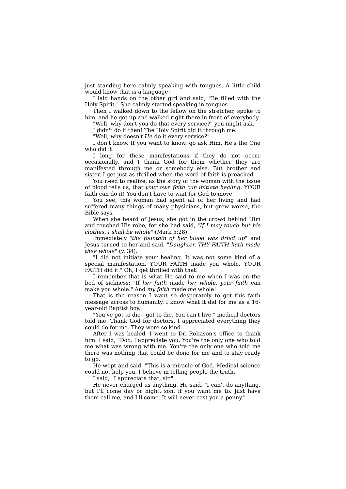just standing here calmly speaking with tongues. A little child would know that is a language!"

I laid hands on the other girl and said, "Be filled with the Holy Spirit." She calmly started speaking in tongues.

Then I walked down to the fellow on the stretcher, spoke to him, and he got up and walked right there in front of everybody.

"Well, why don't you do that every service?" you might ask.

I didn't do it then! The Holy Spirit did it through me.

"Well, why doesn't *He* do it every service?"

I don't know. If you want to know, go ask Him. He's the One who did it.

I long for these manifestations if they do not occur occasionally, and I thank God for them whether they are manifested through me or somebody else. But brother and sister, I get just as thrilled when the word of faith is preached.

You need to realize, as the story of the woman with the issue of blood tells us, that *your own faith can initiate healing.* YOUR faith can do it! You don't have to wait for God to move.

You see, this woman had spent all of her living and had suffered many things of many physicians, but grew worse, the Bible says.

When she heard of Jesus, she got in the crowd behind Him and touched His robe, for she had said, *"If I may touch but his clothes, I shall be whole"* (Mark 5:28).

Immediately *"the fountain of her blood was dried up"* and Jesus turned to her and said, *"Daughter, THY FAITH hath made thee whole"* (v. 34).

"I did not initiate your healing. It was not some kind of a special manifestation. YOUR FAITH made you whole. YOUR FAITH did it." Oh, I get thrilled with that!

I remember that is what He said to me when I was on the bed of sickness: "If *her faith* made *her whole, your faith* can make you whole." And *my faith* made *me* whole!

That is the reason I want so desperately to get this faith message across to humanity. I know what it did for me as a 16 year-old Baptist boy.

"You've got to die—got to die. You can't live," medical doctors told me. Thank God for doctors. I appreciated everything they could do for me. They were so kind.

After I was healed, I went to Dr. Robason's office to thank him. I said, "Doc, I appreciate you. You're the only one who told me what was wrong with me. You're the only one who told me there was nothing that could be done for me and to stay ready to go."

He wept and said, "This is a miracle of God. Medical science could not help you. I believe in telling people the truth."

I said, "I appreciate that, sir."

He never charged us anything. He said, "I can't do anything, but I'll come day or night, son, if you want me to. Just have them call me, and I'll come. It will never cost you a penny."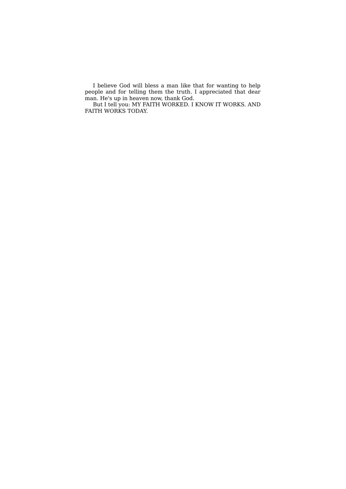I believe God will bless a man like that for wanting to help people and for telling them the truth. I appreciated that dear man. He's up in heaven now, thank God.

But I tell you: MY FAITH WORKED. I KNOW IT WORKS. AND FAITH WORKS TODAY.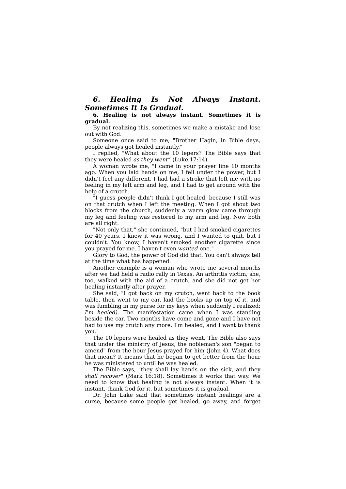## *6. Healing Is Not Always Instant. Sometimes It Is Gradual.*

**6. Healing is not always instant. Sometimes it is gradual.**

By not realizing this, sometimes we make a mistake and lose out with God.

Someone once said to me, "Brother Hagin, in Bible days, people always got healed instantly."

I replied, "What about the 10 lepers? The Bible says that they were healed *as they went"* (Luke 17:14).

A woman wrote me, "I came in your prayer line 10 months ago. When you laid hands on me, I fell under the power, but I didn't feel any different. I had had a stroke that left me with no feeling in my left arm and leg, and I had to get around with the help of a crutch.

"I guess people didn't think I got healed, because I still was on that crutch when I left the meeting. When I got about two blocks from the church, suddenly a warm glow came through my leg and feeling was restored to my arm and leg. Now both are all right.

"Not only that," she continued, "but I had smoked cigarettes for 40 years. I knew it was wrong, and I wanted to quit, but I couldn't. You know, I haven't smoked another cigarette since you prayed for me. I haven't even *wanted* one."

Glory to God, the power of God did that. You can't always tell at the time what has happened.

Another example is a woman who wrote me several months after we had held a radio rally in Texas. An arthritis victim, she, too, walked with the aid of a crutch, and she did not get her healing instantly after prayer.

She said, "I got back on my crutch, went back to the book table, then went to my car, laid the books up on top of it, and was fumbling in my purse for my keys when suddenly I realized: *I'm healed).* The manifestation came when I was standing beside the car. Two months have come and gone and I have not had to use my crutch any more. I'm healed, and I want to thank you."

The 10 lepers were healed as they went. The Bible also says that under the ministry of Jesus, the nobleman's son "began to amend" from the hour Jesus prayed for him (John 4). What does that mean? It means that he began to get better from the hour he was ministered to until he was healed.

The Bible says, "they shall lay hands on the sick, and they *shall recover"* (Mark 16:18). Sometimes it works that way. We need to know that healing is not always instant. When it is instant, thank God for it, but sometimes it is gradual.

Dr. John Lake said that sometimes instant healings are a curse, because some people get healed, go away, and forget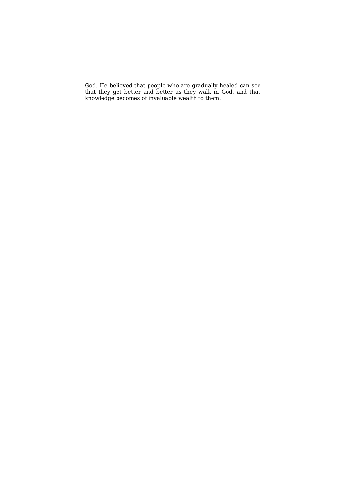God. He believed that people who are gradually healed can see that they get better and better as they walk in God, and that knowledge becomes of invaluable wealth to them.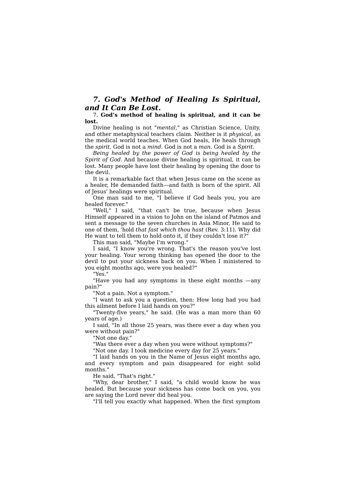# *7. God's Method of Healing Is Spiritual, and It Can Be Lost.*

7. **God's method of healing is spiritual, and it can be lost.**

Divine healing is not *"mental,"* as Christian Science, Unity, and other metaphysical teachers claim. Neither is it *physical,* as the medical world teaches. When God heals, He heals through the *spirit.* God is not a *mind.* God is not a *man.* God is a *Spirit.*

*Being healed by the power of God is being healed by the Spirit of God.* And because divine healing is spiritual, it can be lost. Many people have lost their healing by opening the door to the devil.

It is a remarkable fact that when Jesus came on the scene as a healer, He demanded faith—and faith is born of the spirit. All of Jesus' healings were spiritual.

One man said to me, "I believe if God heals you, you are healed forever."

"Well," I said, "that can't be true, because when Jesus Himself appeared in a vision to John on the island of Patmos and sent a message to the seven churches in Asia Minor, He said to one of them, 'hold *that fast which thou hast* (Rev. 3:11). Why did He want to tell them to hold onto it, if they couldn't lose it?"

This man said, "Maybe I'm wrong."

I said, "I know you're wrong. That's the reason you've lost your healing. Your wrong thinking has opened the door to the devil to put your sickness back on you. When I ministered to you eight months ago, were you healed?"

"Yes."

"Have you had any symptoms in these eight months —any pain?"

"Not a pain. Not a symptom."

"I want to ask you a question, then: How long had you had this ailment before I laid hands on you?"

"Twenty-five years," he said. (He was a man more than 60 years of age.)

I said, "In all those 25 years, was there ever a day when you were without pain?"

"Not one day."

"Was there ever a day when you were without symptoms?"

"Not one day. I took medicine every day for 25 years."

"I laid hands on you in the Name of Jesus eight months ago, and every symptom and pain disappeared for eight solid months."

He said, "That's right."

"Why, dear brother," I said, "a child would know he was healed. But because your sickness has come back on you, you are saying the Lord never did heal you.

"I'll tell you exactly what happened. When the first symptom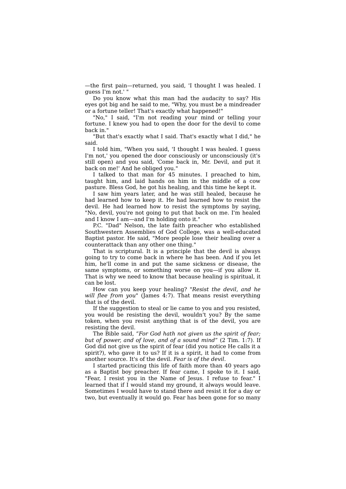—the first pain—returned, you said, 'I thought I was healed. I guess I'm not.' "

Do you know what this man had the audacity to say? His eyes got big and he said to me, "Why, you must be a mindreader or a fortune teller! That's exactly what happened!"

"No," I said, "I'm not reading your mind or telling your fortune. I knew you had to open the door for the devil to come back in."

"But that's exactly what I said. That's exactly what I did," he said.

I told him, "When you said, 'I thought I was healed. I guess I'm not,' you opened the door consciously or unconsciously (it's still open) and you said, 'Come back in, Mr. Devil, and put it back on me!' And he obliged you."

I talked to that man for 45 minutes. I preached to him, taught him, and laid hands on him in the middle of a cow pasture. Bless God, he got his healing, and this time he kept it.

I saw him years later, and he was still healed, because he had learned how to keep it. He had learned how to resist the devil. He had learned how to resist the symptoms by saying, "No, devil, you're not going to put that back on me. I'm healed and I know I am—and I'm holding onto it."

P.C. "Dad" Nelson, the late faith preacher who established Southwestern Assemblies of God College, was a well-educated Baptist pastor. He said, "More people lose their healing over a counterattack than any other one thing."

That is scriptural. It is a principle that the devil is always going to try to come back in where he has been. And if you let him, he'll come in and put the same sickness or disease, the same symptoms, or something worse on you—if you allow it. That is why we need to know that because healing is spiritual, it can be lost.

How can you keep your healing? *"Resist the devil, and he will flee from you"* (James 4:7). That means resist everything that is of the devil.

If the suggestion to steal or lie came to you and you resisted, you would be resisting the devil, wouldn't you? By the same token, when you resist anything that is of the devil, you are resisting the devil.

The Bible said, *"For God hath not given us the spirit of fear; but of power, and of love, and of a sound mind"* (2 Tim. 1:7). If God did not give us the spirit of fear (did you notice He calls it a spirit?), who gave it to us? If it is a spirit, it had to come from another source. It's of the devil. *Fear is of the devil.*

I started practicing this life of faith more than 40 years ago as a Baptist boy preacher. If fear came, I spoke to it. I said, "Fear, I resist you in the Name of Jesus. I refuse to fear." I learned that if I would stand my ground, it always would leave. Sometimes I would have to stand there and resist it for a day or two, but eventually it would go. Fear has been gone for so many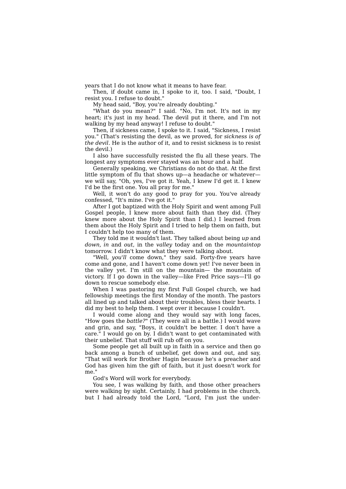years that I do not know what it means to have fear.

Then, if doubt came in, I spoke to it, too. I said, "Doubt, I resist you. I refuse to doubt."

My head said, "Boy, you're already doubting."

"What do you mean?" I said. "No, I'm not. It's not in my heart; it's just in my head. The devil put it there, and I'm not walking by my head anyway! I refuse to doubt."

Then, if sickness came, I spoke to it. I said, "Sickness, I resist you." (That's resisting the devil, as we proved, for *sickness is of the devil.* He is the author of it, and to resist sickness is to resist the devil.)

I also have successfully resisted the flu all these years. The longest any symptoms ever stayed was an hour and a half.

Generally speaking, we Christians do not do that. At the first little symptom of flu that shows up—a headache or whatever we will say, "Oh, yes, I've got it. Yeah, I knew I'd get it. I knew I'd be the first one. You all pray for me."

Well, it won't do any good to pray for you. You've already confessed, "It's mine. I've got it."

After I got baptized with the Holy Spirit and went among Full Gospel people, I knew more about faith than they did. (They knew more about the Holy Spirit than I did.) I learned from them about the Holy Spirit and I tried to help them on faith, but I couldn't help too many of them.

They told me it wouldn't last. They talked about being *up* and *down, in* and *out,* in the *valley* today and on the *mountaintop* tomorrow. I didn't know what they were talking about.

"Well, *you'll* come down," they said. Forty-five years have come and gone, and I haven't come down yet! I've never been in the valley yet. I'm still on the mountain— the mountain of victory. If I go down in the valley—like Fred Price says—I'll go down to rescue somebody else.

When I was pastoring my first Full Gospel church, we had fellowship meetings the first Monday of the month. The pastors all lined up and talked about their troubles, bless their hearts. I did my best to help them. I wept over it because I couldn't.

I would come along and they would say with long faces, "How goes the *battle?"* (They were all in a battle.) I would wave and grin, and say, "Boys, it couldn't be better. I don't have a care." I would go on by. I didn't want to get contaminated with their unbelief. That stuff will rub off on you.

Some people get all built up in faith in a service and then go back among a bunch of unbelief, get down and out, and say, "That will work for Brother Hagin because he's a preacher and God has given him the gift of faith, but it just doesn't work for me."

God's Word will work for everybody.

You see, I was walking by faith, and those other preachers were walking by sight. Certainly, I had problems in the church, but I had already told the Lord, "Lord, I'm just the under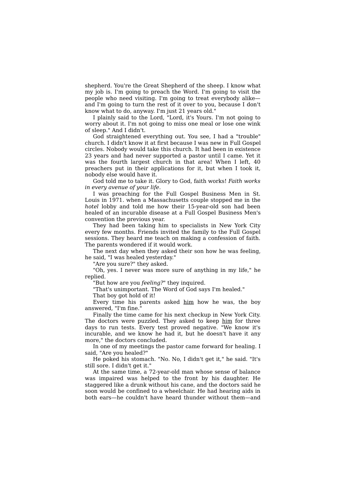shepherd. You're the Great Shepherd of the sheep. I know what my job is. I'm going to preach the Word. I'm going to visit the people who need visiting. I'm going to treat everybody alike and I'm going to turn the rest of it over to you, because I don't know what to do, anyway. I'm just 21 years old."

I plainly said to the Lord, "Lord, it's Yours. I'm not going to worry about it. I'm not going to miss one meal or lose one wink of sleep." And I didn't.

God straightened everything out. You see, I had a "trouble" church. I didn't know it at first because I was new in Full Gospel circles. Nobody would take this church. It had been in existence 23 years and had never supported a pastor until I came. Yet it was the fourth largest church in that area! When I left, 40 preachers put in their applications for it, but when I took it, nobody else would have it.

God told me to take it. Glory to God, faith works! *Faith works in every avenue of your life.*

I was preaching for the Full Gospel Business Men in St. Louis in 1971. when a Massachusetts couple stopped me in the *hotel* lobby and told me how their 15-year-old son had been healed of an incurable disease at a Full Gospel Business Men's convention the previous year.

They had been taking him to specialists in New York City every few months. Friends invited the family to the Full Gospel sessions. They heard me teach on making a confession of faith. The parents wondered if it would work.

The next day when they asked their son how he was feeling, he said, "I was healed yesterday."

"Are you sure?" they asked.

"Oh, yes. I never was more sure of anything in my life," he replied.

"But how are you *feeling?"* they inquired.

"That's unimportant. The Word of God says I'm healed."

That boy got hold of it!

Every time his parents asked him how he was, the boy answered, "I'm fine."

Finally the time came for his next checkup in New York City. The doctors were puzzled. They asked to keep him for three days to run tests. Every test proved negative. "We know it's incurable, and we know he had it, but he doesn't have it any more," the doctors concluded.

In one of my meetings the pastor came forward for healing. I said, "Are you healed?"

He poked his stomach. "No. No, I didn't get it," he said. "It's still sore. I didn't get it."

At the same time, a 72-year-old man whose sense of balance was impaired was helped to the front by his daughter. He staggered like a drunk without his cane, and the doctors said he soon would be confined to a wheelchair. He had hearing aids in both ears—he couldn't have heard thunder without them—and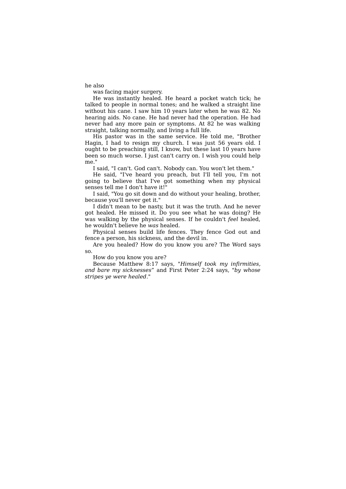he also

was facing major surgery.

He was instantly healed. He heard a pocket watch tick; he talked to people in normal tones; and he walked a straight line without his cane. I saw him 10 years later when he was 82. No hearing aids. No cane. He had never had the operation. He had never had any more pain or symptoms. At 82 he was walking straight, talking normally, and living a full life.

His pastor was in the same service. He told me, "Brother Hagin, I had to resign my church. I was just 56 years old. I ought to be preaching still, I know, but these last 10 years have been so much worse. I just can't carry on. I wish you could help me."

I said, "I can't. God can't. Nobody can. You won't let them."

He said, "I've heard you preach, but I'll tell you, I'm not going to believe that I've got something when my physical senses tell me I don't have it!"

I said, "You go sit down and do without your healing, brother, because you'll never get it."

I didn't mean to be nasty, but it was the truth. And he never got healed. He missed it. Do you see what he was doing? He was walking by the physical senses. If he couldn't *feel* healed, he wouldn't believe he *was* healed.

Physical senses build life fences. They fence God out and fence a person, his sickness, and the devil in.

Are you healed? How do you know you are? The Word says so.

How do you know you are?

Because Matthew 8:17 says, *"Himself took my infirmities, and bare my sicknesses"* and First Peter 2:24 says, *"by whose stripes ye were healed."*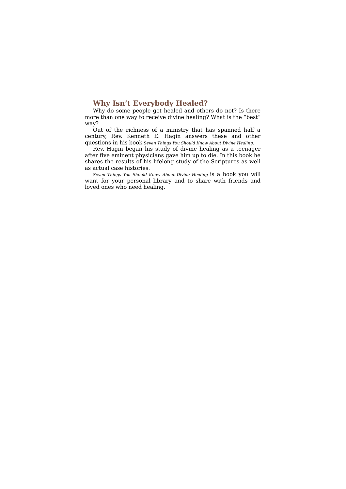### **Why Isn't Everybody Healed?**

Why do some people get healed and others do not? Is there more than one way to receive divine healing? What is the "best" way?

Out of the richness of a ministry that has spanned half a century, Rev. Kenneth E. Hagin answers these and other questions in his book *Seven Things You Should Know About Divine Healing.*

Rev. Hagin began his study of divine healing as a teenager after five eminent physicians gave him up to die. In this book he shares the results of his lifelong study of the Scriptures as well as actual case histories.

*Seven Things You Should Know About Divine Healing* is a book you will want for your personal library and to share with friends and loved ones who need healing.